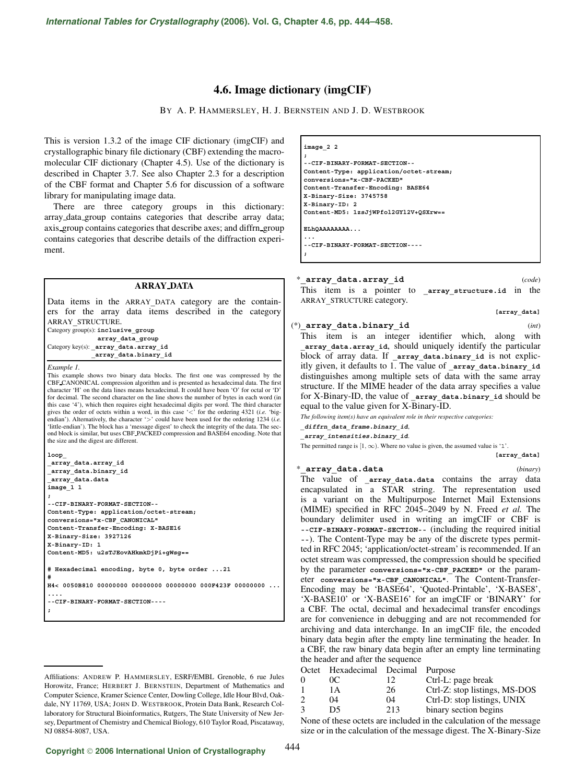# **4.6. Image dictionary (imgCIF)**

BY A. P. HAMMERSLEY, H. J. BERNSTEIN AND J. D. WESTBROOK

This is version 1.3.2 of the image CIF dictionary (imgCIF) and crystallographic binary file dictionary (CBF) extending the macromolecular CIF dictionary (Chapter 4.5). Use of the dictionary is described in Chapter 3.7. See also Chapter 2.3 for a description of the CBF format and Chapter 5.6 for discussion of a software library for manipulating image data.

There are three category groups in this dictionary: array data group contains categories that describe array data; axis group contains categories that describe axes; and diffrn group contains categories that describe details of the diffraction experiment.

## **ARRAY DATA**

Data items in the ARRAY**\_**DATA category are the containers for the array data items described in the category ARRAY**\_**STRUCTURE. Category group(s): **inclusive\_group**

**array\_data\_group** Category key(s): **\_array\_data.array\_id \_array\_data.binary\_id**

*Example 1.*

This example shows two binary data blocks. The first one was compressed by the CBF CANONICAL compression algorithm and is presented as hexadecimal data. The first character 'H' on the data lines means hexadecimal. It could have been 'O' for octal or 'D' for decimal. The second character on the line shows the number of bytes in each word (in this case '4'), which then requires eight hexadecimal digits per word. The third character gives the order of octets within a word, in this case '<' for the ordering 4321 (*i.e.* 'bigendian'). Alternatively, the character '>' could have been used for the ordering 1234 (*i.e.* 'little-endian'). The block has a 'message digest' to check the integrity of the data. The second block is similar, but uses CBF PACKED compression and BASE64 encoding. Note that the size and the digest are different.

```
loop_
_array_data.array_id
_array_data.binary_id
_array_data.data
image_1 1
;
--CIF-BINARY-FORMAT-SECTION--
Content-Type: application/octet-stream;
conversions="x-CBF_CANONICAL"
Content-Transfer-Encoding: X-BASE16
X-Binary-Size: 3927126
X-Binary-ID: 1
Content-MD5: u2sTJEovAHkmkDjPi+gWsg==
# Hexadecimal encoding, byte 0, byte order ...21
#
H4< 0050B810 00000000 00000000 00000000 000F423F 00000000 ...
....
--CIF-BINARY-FORMAT-SECTION----
;
```

```
image_2 2
;
```
**...**

**;**

```
--CIF-BINARY-FORMAT-SECTION--
Content-Type: application/octet-stream;
conversions="x-CBF-PACKED"
Content-Transfer-Encoding: BASE64
X-Binary-Size: 3745758
X-Binary-ID: 2
Content-MD5: 1zsJjWPfol2GYl2V+QSXrw==
ELhQAAAAAAAA...
```
**--CIF-BINARY-FORMAT-SECTION----**

\***\_array\_data.array\_id** (*code*) This item is a pointer to **\_array\_structure.id** in the ARRAY**\_**STRUCTURE category.

**[array\_data]**

```
(*)_array_data.binary_id (int)
  This item is an integer identifier which, along with
   array data.array id, should uniquely identify the particular
  block of array data. If _array_data.binary_id is not explic-
  itly given, it defaults to 1. The value of _array_data.binary_id
  distinguishes among multiple sets of data with the same array
  structure. If the MIME header of the data array specifies a value
  for X-Binary-ID, the value of array data.binary id should be
```
equal to the value given for X-Binary-ID. *The following item(s) have an equivalent role in their respective categories:*

```
_diffrn_data_frame.binary_id,
```

```
_array_intensities.binary_id.
```
The permitted range is  $[1, \infty)$ . Where no value is given, the assumed value is '1'.

```
*_array_data.data (binary)
```
**[array\_data]**

The value of **\_array\_data.data** contains the array data encapsulated in a STAR string. The representation used is a variant on the Multipurpose Internet Mail Extensions (MIME) specified in RFC 2045–2049 by N. Freed *et al.* The boundary delimiter used in writing an imgCIF or CBF is **--CIF-BINARY-FORMAT-SECTION--** (including the required initial **--**). The Content-Type may be any of the discrete types permitted in RFC 2045; 'application/octet-stream' is recommended. If an octet stream was compressed, the compression should be specified by the parameter **conversions="x-CBF\_PACKED"** or the parameter **conversions="x-CBF\_CANONICAL"**. The Content-Transfer-Encoding may be 'BASE64', 'Quoted-Printable', 'X-BASE8', 'X-BASE10' or 'X-BASE16' for an imgCIF or 'BINARY' for a CBF. The octal, decimal and hexadecimal transfer encodings are for convenience in debugging and are not recommended for archiving and data interchange. In an imgCIF file, the encoded binary data begin after the empty line terminating the header. In a CBF, the raw binary data begin after an empty line terminating the header and after the sequence

|   | Octet Hexadecimal Decimal Purpose |     |                               |
|---|-----------------------------------|-----|-------------------------------|
| 0 | OC.                               | 12  | Ctrl-L: page break            |
|   | 1 A                               | 26  | Ctrl-Z: stop listings, MS-DOS |
| 2 | 04                                | 04  | Ctrl-D: stop listings, UNIX   |
| 3 | D5                                | 213 | binary section begins         |
|   |                                   |     |                               |

None of these octets are included in the calculation of the message size or in the calculation of the message digest. The X-Binary-Size

Affiliations: ANDREW P. HAMMERSLEY, ESRF/EMBL Grenoble, 6 rue Jules Horowitz, France; HERBERT J. BERNSTEIN, Department of Mathematics and Computer Science, Kramer Science Center, Dowling College, Idle Hour Blvd, Oakdale, NY 11769, USA; JOHN D. WESTBROOK, Protein Data Bank, Research Collaboratory for Structural Bioinformatics, Rutgers, The State University of New Jersey, Department of Chemistry and Chemical Biology, 610 Taylor Road, Piscataway, NJ 08854-8087, USA.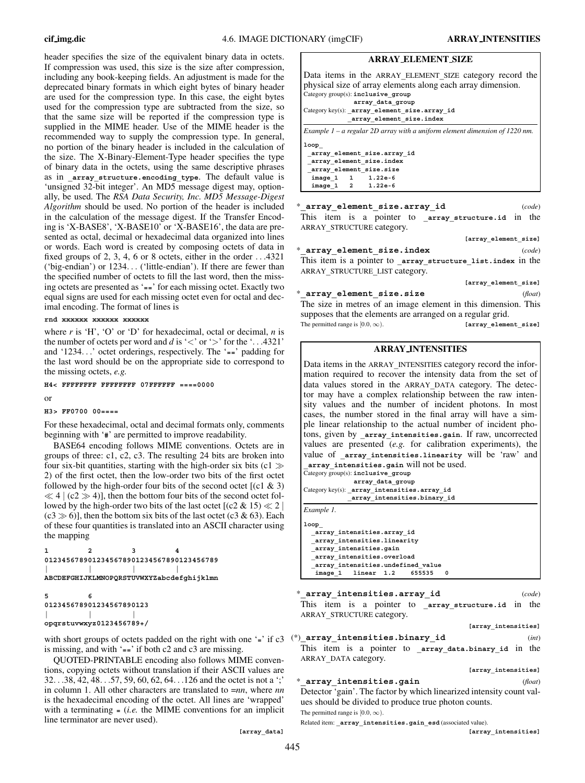header specifies the size of the equivalent binary data in octets. If compression was used, this size is the size after compression, including any book-keeping fields. An adjustment is made for the deprecated binary formats in which eight bytes of binary header are used for the compression type. In this case, the eight bytes used for the compression type are subtracted from the size, so that the same size will be reported if the compression type is supplied in the MIME header. Use of the MIME header is the recommended way to supply the compression type. In general, no portion of the binary header is included in the calculation of the size. The X-Binary-Element-Type header specifies the type of binary data in the octets, using the same descriptive phrases as in array structure.encoding type. The default value is 'unsigned 32-bit integer'. An MD5 message digest may, optionally, be used. The *RSA Data Security, Inc. MD5 Message-Digest Algorithm* should be used. No portion of the header is included in the calculation of the message digest. If the Transfer Encoding is 'X-BASE8', 'X-BASE10' or 'X-BASE16', the data are presented as octal, decimal or hexadecimal data organized into lines or words. Each word is created by composing octets of data in fixed groups of 2, 3, 4, 6 or 8 octets, either in the order ...4321 ('big-endian') or 1234... ('little-endian'). If there are fewer than the specified number of octets to fill the last word, then the missing octets are presented as '**==**' for each missing octet. Exactly two equal signs are used for each missing octet even for octal and decimal encoding. The format of lines is

### **rnd xxxxxx xxxxxx xxxxxx**

where *r* is 'H', 'O' or 'D' for hexadecimal, octal or decimal, *n* is the number of octets per word and *d* is ' $\lt$ ' or ' $>$ ' for the '...4321' and '1234...' octet orderings, respectively. The '**==**' padding for the last word should be on the appropriate side to correspond to the missing octets, *e.g.*

```
H4< FFFFFFFF FFFFFFFF 07FFFFFF ====0000
```
or

### **H3> FF0700 00====**

For these hexadecimal, octal and decimal formats only, comments beginning with '**#**' are permitted to improve readability.

BASE64 encoding follows MIME conventions. Octets are in groups of three: c1, c2, c3. The resulting 24 bits are broken into four six-bit quantities, starting with the high-order six bits (c1  $\gg$ 2) of the first octet, then the low-order two bits of the first octet followed by the high-order four bits of the second octet  $[(c1 & 3)]$  $\ll 4 \mid (c2 \gg 4)$ , then the bottom four bits of the second octet followed by the high-order two bits of the last octet  $[(c2 \& 15) \ll 2]$  $(c3 \gg 6)$ ], then the bottom six bits of the last octet (c3 & 63). Each of these four quantities is translated into an ASCII character using the mapping

**1234 0123456789012345678901234567890123456789 |||| ABCDEFGHIJKLMNOPQRSTUVWXYZabcdefghijklmn**

**5 6 012345678901234567890123 ||| opqrstuvwxyz0123456789+/**

with short groups of octets padded on the right with one '=' if c3 (\*)\_array\_intensities.binary\_id (*int*) is missing, and with '**==**' if both c2 and c3 are missing.

QUOTED-PRINTABLE encoding also follows MIME conventions, copying octets without translation if their ASCII values are 32...38, 42, 48...57, 59, 60, 62, 64...126 and the octet is not a ';' in column 1. All other characters are translated to =*nn*, where *nn* is the hexadecimal encoding of the octet. All lines are 'wrapped' with a terminating **=** (*i.e.* the MIME conventions for an implicit line terminator are never used).

**[array\_data]**

### **ARRAY ELEMENT SIZE**

Data items in the ARRAY**\_**ELEMENT**\_**SIZE category record the physical size of array elements along each array dimension. Category group(s): **inclusive\_group array\_data\_group**

Category key(s): **\_array\_element\_size.array\_id \_array\_element\_size.index**

*Example 1 – a regular 2D array with a uniform element dimension of 1220 nm.*

| loop                    |   |                             |  |  |  |  |
|-------------------------|---|-----------------------------|--|--|--|--|
|                         |   | array element size.array id |  |  |  |  |
|                         |   | array element size.index    |  |  |  |  |
| array element size.size |   |                             |  |  |  |  |
| image 1                 | 1 | $1.22e-6$                   |  |  |  |  |
| image 1                 | 2 | $1.22e-6$                   |  |  |  |  |

 $\texttt{array\_element\_size.array\_id}$  (*code*)

This item is a pointer to **\_array\_structure.id** in the ARRAY**\_**STRUCTURE category.

**[array\_element\_size]**

 $\texttt{array element size.index}$  (*code*) This item is a pointer to **\_array\_structure\_list.index** in the ARRAY**\_**STRUCTURE**\_**LIST category.

|                                                                | [array element size]                   |
|----------------------------------------------------------------|----------------------------------------|
| * array element size.size                                      | (float)                                |
| The size in metres of an image element in this dimension. This |                                        |
| supposes that the elements are arranged on a regular grid.     |                                        |
| The normalised nones is $[0, 0, -1]$                           | الاستحادي المستسمين والمنافذ والمستحدث |

The permitted range is  $[0.0, \infty)$ . **[array\_element\_size]** 

### **ARRAY INTENSITIES**

Data items in the ARRAY**\_**INTENSITIES category record the information required to recover the intensity data from the set of data values stored in the ARRAY**\_**DATA category. The detector may have a complex relationship between the raw intensity values and the number of incident photons. In most cases, the number stored in the final array will have a simple linear relationship to the actual number of incident photons, given by array intensities.gain. If raw, uncorrected values are presented (*e.g.* for calibration experiments), the value of array intensities.linearity will be 'raw' and **\_array\_intensities.gain** will not be used.

| Category group(s). inclusive group          |  |  |  |  |  |  |  |  |
|---------------------------------------------|--|--|--|--|--|--|--|--|
| array data group                            |  |  |  |  |  |  |  |  |
| Category key(s): array intensities.array id |  |  |  |  |  |  |  |  |
| array intensities.binary id                 |  |  |  |  |  |  |  |  |
| Example 1.                                  |  |  |  |  |  |  |  |  |
| loop                                        |  |  |  |  |  |  |  |  |
| array intensities.array id                  |  |  |  |  |  |  |  |  |
| array intensities.linearity                 |  |  |  |  |  |  |  |  |
| array intensities.gain                      |  |  |  |  |  |  |  |  |
| array intensities.overload                  |  |  |  |  |  |  |  |  |
| array intensities.undefined value           |  |  |  |  |  |  |  |  |
| image 1 linear 1.2 655535<br>0              |  |  |  |  |  |  |  |  |
|                                             |  |  |  |  |  |  |  |  |

\***\_array\_intensities.array\_id** (*code*)

This item is a pointer to **array** structure.id in the ARRAY**\_**STRUCTURE category.

```
[array_intensities]
```
This item is a pointer to array data.binary id in the ARRAY**\_**DATA category.

### **[array\_intensities]**

\***\_array\_intensities.gain** (*float*) Detector 'gain'. The factor by which linearized intensity count values should be divided to produce true photon counts. The permitted range is  $[0.0, \infty)$ .

Related item: **\_array\_intensities.gain\_esd** (associated value).

**[array\_intensities]**

Category group(s): **inclusive\_group**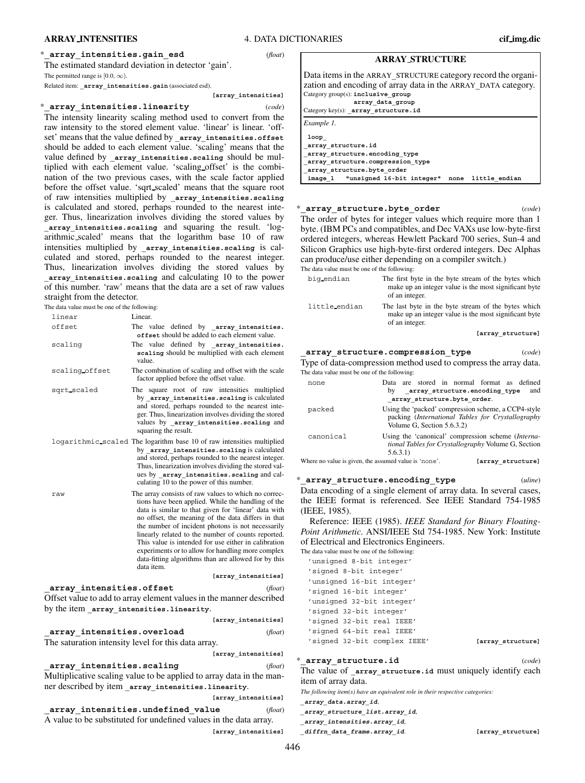### **ARRAY INTENSITIES** 4. DATA DICTIONARIES **cif img.dic**

### \***\_array\_intensities.gain\_esd** (*float*)

The estimated standard deviation in detector 'gain'. The permitted range is  $[0.0, \infty)$ . Related item: **array** intensities.gain (associated esd).

**[array\_intensities]**

### \***\_array\_intensities.linearity** (*code*)

The intensity linearity scaling method used to convert from the raw intensity to the stored element value. 'linear' is linear. 'offset' means that the value defined by **\_array\_intensities.offset** should be added to each element value. 'scaling' means that the value defined by array intensities. scaling should be multiplied with each element value. 'scaling offset' is the combination of the two previous cases, with the scale factor applied before the offset value. 'sqrt scaled' means that the square root of raw intensities multiplied by **\_array\_intensities.scaling** is calculated and stored, perhaps rounded to the nearest integer. Thus, linearization involves dividing the stored values by **\_array\_intensities.scaling** and squaring the result. 'logarithmic scaled' means that the logarithm base 10 of raw intensities multiplied by array intensities.scaling is calculated and stored, perhaps rounded to the nearest integer. Thus, linearization involves dividing the stored values by **\_array\_intensities.scaling** and calculating 10 to the power of this number. 'raw' means that the data are a set of raw values straight from the detector.

| The data value must be one of the following: |                                                                                                                                                                                                                                                                                     |
|----------------------------------------------|-------------------------------------------------------------------------------------------------------------------------------------------------------------------------------------------------------------------------------------------------------------------------------------|
| linear                                       | Linear.                                                                                                                                                                                                                                                                             |
| offset                                       | The value defined by _array_intensities.<br><b>offset</b> should be added to each element value.                                                                                                                                                                                    |
| scaling                                      | The value defined by _array_intensities.<br>scaling should be multiplied with each element<br>value.                                                                                                                                                                                |
| scaling_offset                               | The combination of scaling and offset with the scale<br>factor applied before the offset value.                                                                                                                                                                                     |
| sqrt_scaled                                  | The square root of raw intensities multiplied<br>by array intensities. scaling is calculated<br>and stored, perhaps rounded to the nearest inte-<br>ger. Thus, linearization involves dividing the stored<br>values by array intensities. scaling and<br>squaring the result.       |
|                                              | logarithmic_scaled The logarithm base 10 of raw intensities multiplied<br>by array intensities. scaling is calculated<br>and stored, perhaps rounded to the nearest integer.<br>Thus, linearization involves dividing the stored val-<br>ues by array intensities. scaling and cal- |

raw The array consists of raw values to which no corrections have been applied. While the handling of the data is similar to that given for 'linear' data with no offset, the meaning of the data differs in that the number of incident photons is not necessarily linearly related to the number of counts reported. This value is intended for use either in calibration experiments or to allow for handling more complex data-fitting algorithms than are allowed for by this data item.

culating 10 to the power of this number.

## **[array\_intensities] \_array\_intensities.offset** (*float*)

Offset value to add to array element values in the manner described by the item **\_array\_intensities.linearity**.

|                            | [array intensities] |
|----------------------------|---------------------|
| array intensities.overload | (float)             |

The saturation intensity level for this data array.

**[array\_intensities]**

```
_array_intensities.scaling (float)
Multiplicative scaling value to be applied to array data in the man-
ner described by item _array_intensities.linearity.
```
**[array\_intensities]**

**\_array\_intensities.undefined\_value** (*float*)

A value to be substituted for undefined values in the data array.

```
[array_intensities]
```
## **ARRAY STRUCTURE**

Data items in the ARRAY**\_**STRUCTURE category record the organization and encoding of array data in the ARRAY**\_**DATA category. Category group(s): **inclusive\_group array\_data\_group**

Category key(s): **\_array\_structure.id**

| Example 1.                                           |  |  |  |  |  |  |
|------------------------------------------------------|--|--|--|--|--|--|
| loop                                                 |  |  |  |  |  |  |
| array structure.id                                   |  |  |  |  |  |  |
| array structure.encoding type                        |  |  |  |  |  |  |
| array structure.compression type                     |  |  |  |  |  |  |
| array structure.byte order                           |  |  |  |  |  |  |
| image 1 "unsigned 16-bit integer" none little endian |  |  |  |  |  |  |

# $\text{array}$  structure.byte order (*code*)

The order of bytes for integer values which require more than 1 byte. (IBM PCs and compatibles, and Dec VAXs use low-byte-first ordered integers, whereas Hewlett Packard 700 series, Sun-4 and Silicon Graphics use high-byte-first ordered integers. Dec Alphas can produce/use either depending on a compiler switch.) The data value must be one of the following:

| big endian                                 | The first byte in the byte stream of the bytes which<br>make up an integer value is the most significant byte<br>of an integer. |  |  |  |  |
|--------------------------------------------|---------------------------------------------------------------------------------------------------------------------------------|--|--|--|--|
| little_endian                              | The last byte in the byte stream of the bytes which<br>make up an integer value is the most significant byte<br>of an integer.  |  |  |  |  |
| [array structure]                          |                                                                                                                                 |  |  |  |  |
| array structure.compression type<br>(code) |                                                                                                                                 |  |  |  |  |

Type of data-compression method used to compress the array data. The data value must be one of the following:

| none                                                  | Data are stored in normal format as defined                                                                                            |
|-------------------------------------------------------|----------------------------------------------------------------------------------------------------------------------------------------|
|                                                       | and<br>array structure.encoding type<br>by<br>array structure.byte order.                                                              |
|                                                       |                                                                                                                                        |
| packed                                                | Using the 'packed' compression scheme, a CCP4-style<br>packing (International Tables for Crystallography<br>Volume G, Section 5.6.3.2) |
| canonical                                             | Using the 'canonical' compression scheme (Interna-<br>tional Tables for Crystallography Volume G, Section<br>5.6.3.1)                  |
| Where no value is given, the assumed value is 'none'. | [array structure]                                                                                                                      |

### \***\_array\_structure.encoding\_type** (*uline*)

Data encoding of a single element of array data. In several cases, the IEEE format is referenced. See IEEE Standard 754-1985 (IEEE, 1985).

Reference: IEEE (1985). *IEEE Standard for Binary Floating-Point Arithmetic*. ANSI/IEEE Std 754-1985. New York: Institute of Electrical and Electronics Engineers.

The data value must be one of the following:

| 'unsigned 8-bit integer'     |
|------------------------------|
| 'signed 8-bit integer'       |
| 'unsigned 16-bit integer'    |
| 'signed 16-bit integer'      |
| 'unsigned 32-bit integer'    |
| 'signed 32-bit integer'      |
| 'signed 32-bit real IEEE'    |
| 'signed 64-bit real IEEE'    |
| 'signed 32-bit complex IEEE' |

[array structure]

### \***\_array\_structure.id** (*code*)

The value of **array** structure.id must uniquely identify each item of array data.

*The following item(s) have an equivalent role in their respective categories:*

**\_array\_data.array\_id**,

**\_array\_structure\_list.array\_id**,

**\_array\_intensities.array\_id**,

**\_diffrn\_data\_frame.array\_id**. **[array\_structure]**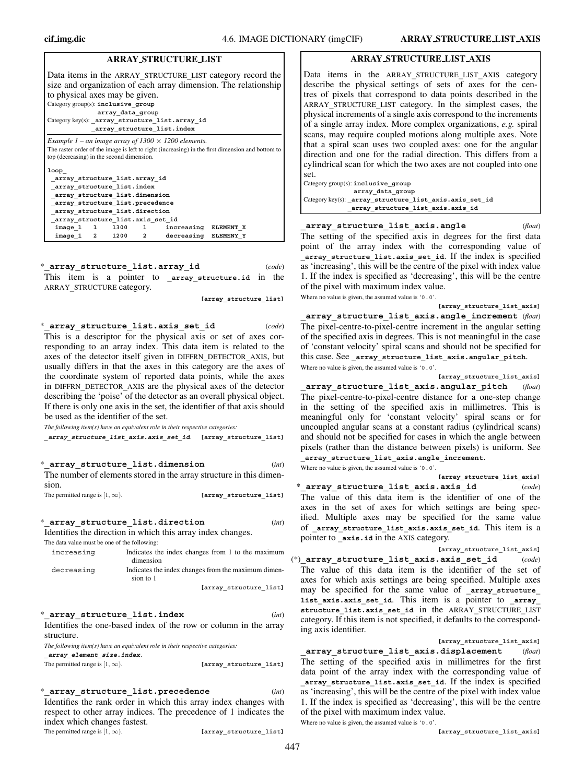## **ARRAY STRUCTURE LIST**

Data items in the ARRAY**\_**STRUCTURE**\_**LIST category record the size and organization of each array dimension. The relationship to physical axes may be given. Category group(s): **inclusive\_group array\_data\_group** Category key(s): **\_array\_structure\_list.array\_id \_array\_structure\_list.index** *Example 1 – an image array of 1300*  $\times$  1200 elements. The raster order of the image is left to right (increasing) in the first dimension and bottom to

top (decreasing) in the second dimension. **loop\_ \_array\_structure\_list.array\_id \_array\_structure\_list.index \_array\_structure\_list.dimension \_array\_structure\_list.precedence \_array\_structure\_list.direction \_array\_structure\_list.axis\_set\_id image\_1 1 1300 1 increasing ELEMENT\_X image\_1 2 1200 2 decreasing ELEMENY\_Y**

\***\_array\_structure\_list.array\_id** (*code*) This item is a pointer to **\_array\_structure.id** in the ARRAY**\_**STRUCTURE category.

**[array\_structure\_list]**

\***\_array\_structure\_list.axis\_set\_id** (*code*) This is a descriptor for the physical axis or set of axes corresponding to an array index. This data item is related to the axes of the detector itself given in DIFFRN**\_**DETECTOR**\_**AXIS, but usually differs in that the axes in this category are the axes of the coordinate system of reported data points, while the axes in DIFFRN**\_**DETECTOR**\_**AXIS are the physical axes of the detector describing the 'poise' of the detector as an overall physical object. If there is only one axis in the set, the identifier of that axis should be used as the identifier of the set.

*The following item(s) have an equivalent role in their respective categories:*

**\_array\_structure\_list\_axis.axis\_set\_id**. **[array\_structure\_list]**

\***\_array\_structure\_list.dimension** (*int*) The number of elements stored in the array structure in this dimension.

 $\label{eq:1} \begin{array}{lll} \textbf{The permitted range is [} & 1, \infty\textbf{)}. \end{array} \qquad \qquad \begin{array}{lll} \textbf{[array\_structure\_list]} \end{array}$ 

\***\_array\_structure\_list.direction** (*int*)

Identifies the direction in which this array index changes.

The data value must be one of the following:

increasing Indicates the index changes from 1 to the maximum dimension decreasing Indicates the index changes from the maximum dimension to 1

**[array\_structure\_list]**

# \***\_array\_structure\_list.index** (*int*)

Identifies the one-based index of the row or column in the array structure.

*The following item(s) have an equivalent role in their respective categories:*

**\_array\_element\_size.index**.

 $\textbf{There are the estimated range is } [1, \infty). \tag{\textbf{array\_structure\_list}}$ 

\***\_array\_structure\_list.precedence** (*int*)

Identifies the rank order in which this array index changes with respect to other array indices. The precedence of 1 indicates the index which changes fastest.

The permitted range is  $[1, \infty)$ . **[array\_structure\_list]** 

### **ARRAY STRUCTURE LIST AXIS**

Data items in the ARRAY**\_**STRUCTURE**\_**LIST**\_**AXIS category describe the physical settings of sets of axes for the centres of pixels that correspond to data points described in the ARRAY**\_**STRUCTURE**\_**LIST category. In the simplest cases, the physical increments of a single axis correspond to the increments of a single array index. More complex organizations, *e.g.* spiral scans, may require coupled motions along multiple axes. Note that a spiral scan uses two coupled axes: one for the angular direction and one for the radial direction. This differs from a cylindrical scan for which the two axes are not coupled into one set.

Category group(s): **inclusive\_group array\_data\_group** Category key(s): **\_array\_structure\_list\_axis.axis\_set\_id \_array\_structure\_list\_axis.axis\_id**

### **\_array\_structure\_list\_axis.angle** (*float*)

The setting of the specified axis in degrees for the first data point of the array index with the corresponding value of **\_array\_structure\_list.axis\_set\_id**. If the index is specified as 'increasing', this will be the centre of the pixel with index value 1. If the index is specified as 'decreasing', this will be the centre of the pixel with maximum index value.

Where no value is given, the assumed value is '0.0'.

**[array\_structure\_list\_axis] \_array\_structure\_list\_axis.angle\_increment** (*float*) The pixel-centre-to-pixel-centre increment in the angular setting of the specified axis in degrees. This is not meaningful in the case of 'constant velocity' spiral scans and should not be specified for this case. See **\_array\_structure\_list\_axis.angular\_pitch**. Where no value is given, the assumed value is '0.0'.

**[array\_structure\_list\_axis] \_array\_structure\_list\_axis.angular\_pitch** (*float*) The pixel-centre-to-pixel-centre distance for a one-step change in the setting of the specified axis in millimetres. This is meaningful only for 'constant velocity' spiral scans or for uncoupled angular scans at a constant radius (cylindrical scans) and should not be specified for cases in which the angle between pixels (rather than the distance between pixels) is uniform. See **\_array\_structure\_list\_axis.angle\_increment**.

Where no value is given, the assumed value is '0.0'.

**[array\_structure\_list\_axis]** \***\_array\_structure\_list\_axis.axis\_id** (*code*) The value of this data item is the identifier of one of the axes in the set of axes for which settings are being specified. Multiple axes may be specified for the same value of **\_array\_structure\_list\_axis.axis\_set\_id**. This item is a pointer to **\_axis.id** in the AXIS category.

**[array\_structure\_list\_axis]** (\*)**\_array\_structure\_list\_axis.axis\_set\_id** (*code*) The value of this data item is the identifier of the set of axes for which axis settings are being specified. Multiple axes may be specified for the same value of **\_array\_structure\_ list\_axis.axis\_set\_id**. This item is a pointer to **\_array\_ structure\_list.axis\_set\_id** in the ARRAY**\_**STRUCTURE**\_**LIST category. If this item is not specified, it defaults to the corresponding axis identifier.

**[array\_structure\_list\_axis] \_array\_structure\_list\_axis.displacement** (*float*) The setting of the specified axis in millimetres for the first data point of the array index with the corresponding value of **\_array\_structure\_list.axis\_set\_id**. If the index is specified as 'increasing', this will be the centre of the pixel with index value 1. If the index is specified as 'decreasing', this will be the centre of the pixel with maximum index value.

Where no value is given, the assumed value is '0.0'

**[array\_structure\_list\_axis]**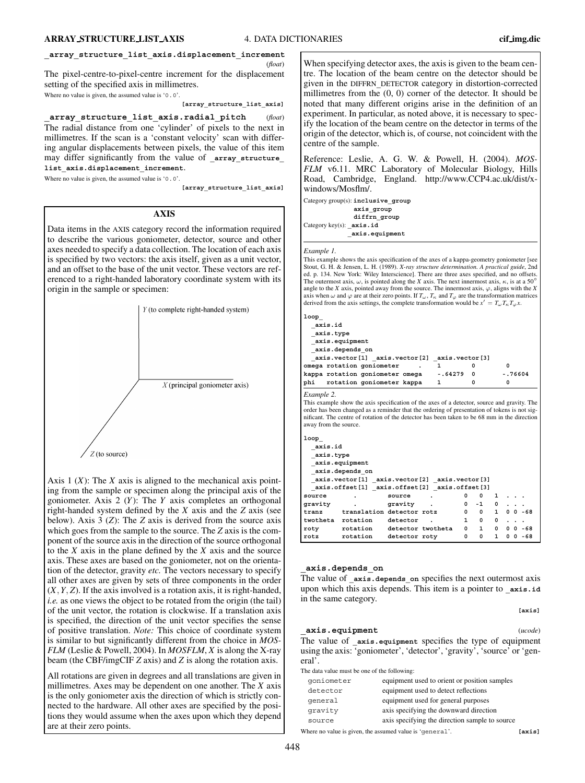### **\_array\_structure\_list\_axis.displacement\_increment**

(*float*)

The pixel-centre-to-pixel-centre increment for the displacement setting of the specified axis in millimetres. Where no value is given, the assumed value is '0.0'.

**[array\_structure\_list\_axis]**

**\_array\_structure\_list\_axis.radial\_pitch** (*float*) The radial distance from one 'cylinder' of pixels to the next in millimetres. If the scan is a 'constant velocity' scan with differing angular displacements between pixels, the value of this item may differ significantly from the value of **array** structure **list\_axis.displacement\_increment**.

Where no value is given, the assumed value is '0.0'.

**[array\_structure\_list\_axis]**

### **AXIS**

Data items in the AXIS category record the information required to describe the various goniometer, detector, source and other axes needed to specify a data collection. The location of each axis is specified by two vectors: the axis itself, given as a unit vector, and an offset to the base of the unit vector. These vectors are referenced to a right-handed laboratory coordinate system with its origin in the sample or specimen:



Axis 1 (*X*): The *X* axis is aligned to the mechanical axis pointing from the sample or specimen along the principal axis of the goniometer. Axis 2 (*Y*): The *Y* axis completes an orthogonal right-handed system defined by the *X* axis and the *Z* axis (see below). Axis 3 (*Z*): The *Z* axis is derived from the source axis which goes from the sample to the source. The *Z* axis is the component of the source axis in the direction of the source orthogonal to the *X* axis in the plane defined by the *X* axis and the source axis. These axes are based on the goniometer, not on the orientation of the detector, gravity *etc.* The vectors necessary to specify all other axes are given by sets of three components in the order (*X*,*Y*, *Z*). If the axis involved is a rotation axis, it is right-handed, *i.e.* as one views the object to be rotated from the origin (the tail) of the unit vector, the rotation is clockwise. If a translation axis is specified, the direction of the unit vector specifies the sense of positive translation. *Note:* This choice of coordinate system is similar to but significantly different from the choice in *MOS-FLM* (Leslie & Powell, 2004). In *MOSFLM*, *X* is along the X-ray beam (the CBF/imgCIF *Z* axis) and *Z* is along the rotation axis.

All rotations are given in degrees and all translations are given in millimetres. Axes may be dependent on one another. The *X* axis is the only goniometer axis the direction of which is strictly connected to the hardware. All other axes are specified by the positions they would assume when the axes upon which they depend are at their zero points.

When specifying detector axes, the axis is given to the beam centre. The location of the beam centre on the detector should be given in the DIFFRN**\_**DETECTOR category in distortion-corrected millimetres from the (0, 0) corner of the detector. It should be noted that many different origins arise in the definition of an experiment. In particular, as noted above, it is necessary to specify the location of the beam centre on the detector in terms of the origin of the detector, which is, of course, not coincident with the centre of the sample.

Reference: Leslie, A. G. W. & Powell, H. (2004). *MOS-FLM* v6.11. MRC Laboratory of Molecular Biology, Hills Road, Cambridge, England. http://www.CCP4.ac.uk/dist/xwindows/Mosflm/.

Category group(s): **inclusive\_group axis\_group diffrn\_group** Category key(s): **\_axis.id \_axis.equipment**

### *Example 1.*

This example shows the axis specification of the axes of a kappa-geometry goniometer [see Stout, G. H. & Jensen, L. H. (1989). *X-ray structure determination. A practical guide*, 2nd ed. p. 134. New York: Wiley Interscience]. There are three axes specified, and no offsets. The outermost axis,  $\omega$ , is pointed along the *X* axis. The next innermost axis,  $\kappa$ , is at a 50<sup>°</sup> angle to the *X* axis, pointed away from the source. The innermost axis,  $\varphi$ , aligns with the *X* axis when  $\omega$  and  $\varphi$  are at their zero points. If  $T_{\omega}$ ,  $T_{\kappa}$  and  $T_{\varphi}$  are the transformation matrices derived from the axis settings, the complete transformation would be  $x' = T_{\omega} T_{\kappa} T_{\varphi} x$ .

| loop |                                              |                                 |  |           |            |           |  |  |
|------|----------------------------------------------|---------------------------------|--|-----------|------------|-----------|--|--|
|      | axis.id                                      |                                 |  |           |            |           |  |  |
|      | axis.type                                    |                                 |  |           |            |           |  |  |
|      | axis.equipment                               |                                 |  |           |            |           |  |  |
|      | axis.depends on                              |                                 |  |           |            |           |  |  |
|      | axis.vector[1] axis.vector[2] axis.vector[3] |                                 |  |           |            |           |  |  |
|      |                                              | omega rotation goniometer       |  |           |            | 0         |  |  |
|      |                                              | kappa rotation goniometer omega |  | $-.64279$ | $^{\circ}$ | $-.76604$ |  |  |
| phi  |                                              | rotation goniometer kappa       |  |           | 0          | 0         |  |  |

*Example 2.*

This example show the axis specification of the axes of a detector, source and gravity. The order has been changed as a reminder that the ordering of presentation of tokens is not significant. The centre of rotation of the detector has been taken to be 68 mm in the direction away from the source.

| loop                               |                                              |               |                   |   |              |   |              |             |             |
|------------------------------------|----------------------------------------------|---------------|-------------------|---|--------------|---|--------------|-------------|-------------|
| axis.id                            |                                              |               |                   |   |              |   |              |             |             |
|                                    | axis.type                                    |               |                   |   |              |   |              |             |             |
|                                    | axis.equipment                               |               |                   |   |              |   |              |             |             |
|                                    | axis.depends on                              |               |                   |   |              |   |              |             |             |
|                                    | axis.vector[1] axis.vector[2] axis.vector[3] |               |                   |   |              |   |              |             |             |
|                                    | axis.offset[1] axis.offset[2] axis.offset[3] |               |                   |   |              |   |              |             |             |
| source                             |                                              | source        |                   | 0 | 0            | 1 |              |             |             |
| gravity                            |                                              | gravity       |                   | 0 | -1           | 0 |              |             |             |
| translation detector rotz<br>tranz |                                              |               |                   | 0 | 0            |   |              |             | $1 0 0 -68$ |
| twotheta<br>rotation               |                                              | detector      |                   | 1 | 0            | 0 |              | .           |             |
| rotation<br>roty                   |                                              |               | detector twotheta | 0 | $\mathbf{1}$ | 0 | <sup>0</sup> | $\mathbf 0$ | $-68$       |
| rotz                               | rotation                                     | detector roty |                   | 0 | 0            | 1 | <sup>0</sup> |             | $0 - 68$    |

### **\_axis.depends\_on**

The value of **\_axis.depends\_on** specifies the next outermost axis upon which this axis depends. This item is a pointer to **\_axis.id** in the same category.

**[axis]**

**\_axis.equipment** (*ucode*) The value of **\_axis.equipment** specifies the type of equipment using the axis: 'goniometer', 'detector', 'gravity', 'source' or 'general'.

The data value must be one of the following:

|                                                          | qoniometer | equipment used to orient or position samples   |        |
|----------------------------------------------------------|------------|------------------------------------------------|--------|
|                                                          | detector   | equipment used to detect reflections           |        |
|                                                          | qeneral    | equipment used for general purposes            |        |
|                                                          | qravity    | axis specifying the downward direction         |        |
|                                                          | source     | axis specifying the direction sample to source |        |
| Where no value is given, the assumed value is 'qeneral'. |            |                                                | [axis] |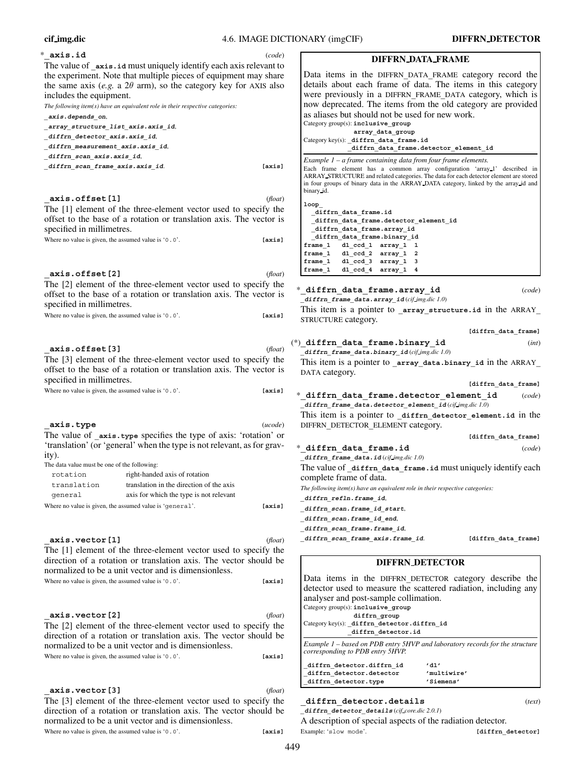## \***\_axis.id** (*code*)

The value of **axis.id** must uniquely identify each axis relevant to the experiment. Note that multiple pieces of equipment may share the same axis (*e.g.* a  $2\theta$  arm), so the category key for AXIS also includes the equipment.

*The following item(s) have an equivalent role in their respective categories:*

**\_axis.depends\_on**,

**\_array\_structure\_list\_axis.axis\_id**,

**\_diffrn\_detector\_axis.axis\_id**,

**\_diffrn\_measurement\_axis.axis\_id**,

**\_diffrn\_scan\_axis.axis\_id**,

**\_diffrn\_scan\_frame\_axis.axis\_id**. **[axis]**

**\_axis.offset[1]** (*float*)

The [1] element of the three-element vector used to specify the

offset to the base of a rotation or translation axis. The vector is specified in millimetres.

Where no value is given, the assumed value is '0.0'. **[axis]** 

### **\_axis.offset[2]** (*float*)

The [2] element of the three-element vector used to specify the offset to the base of a rotation or translation axis. The vector is specified in millimetres.

Where no value is given, the assumed value is '0.0'. **[axis]** 

### **\_axis.offset[3]** (*float*)

The [3] element of the three-element vector used to specify the offset to the base of a rotation or translation axis. The vector is specified in millimetres.

Where no value is given, the assumed value is '0.0'. **[axis]** 

### **\_axis.type** (*ucode*)

The value of **axis.type** specifies the type of axis: 'rotation' or 'translation' (or 'general' when the type is not relevant, as for gravity).

The data value must be one of the following:

| Where no value is given, the assumed value is 'qeneral'. |             |                                          | [axis] |
|----------------------------------------------------------|-------------|------------------------------------------|--------|
|                                                          | qeneral     | axis for which the type is not relevant  |        |
|                                                          | translation | translation in the direction of the axis |        |
|                                                          | rotation    | right-handed axis of rotation            |        |

### **\_axis.vector[1]** (*float*)

The [1] element of the three-element vector used to specify the direction of a rotation or translation axis. The vector should be normalized to be a unit vector and is dimensionless.

Where no value is given, the assumed value is '0.0'. **[axis]** 

### **\_axis.vector[2]** (*float*)

The [2] element of the three-element vector used to specify the direction of a rotation or translation axis. The vector should be normalized to be a unit vector and is dimensionless.

Where no value is given, the assumed value is '0.0'. **[axis]** 

## **\_axis.vector[3]** (*float*)

The [3] element of the three-element vector used to specify the direction of a rotation or translation axis. The vector should be normalized to be a unit vector and is dimensionless.

Where no value is given, the assumed value is '0.0'. **[axis]** 

**DIFFRN DATA FRAME**

Data items in the DIFFRN**\_**DATA**\_**FRAME category record the details about each frame of data. The items in this category were previously in a DIFFRN**\_**FRAME**\_**DATA category, which is now deprecated. The items from the old category are provided as aliases but should not be used for new work. Category group(s): **inclusive\_group array\_data\_group**

Category key(s): **\_diffrn\_data\_frame.id \_diffrn\_data\_frame.detector\_element\_id**

*Example 1 – a frame containing data from four frame elements.* Each frame element has a common array configuration 'array 1' described in ARRAY STRUCTURE and related categories. The data for each detector element are stored in four groups of binary data in the ARRAY DATA category, linked by the array id and binary id.

| loop    |                             |                                       |
|---------|-----------------------------|---------------------------------------|
|         | diffrn data frame.id        |                                       |
|         |                             | diffrn data frame.detector element id |
|         | diffrn data frame.array id  |                                       |
|         | diffrn data frame.binary id |                                       |
|         | frame 1 d1 ccd 1 array 1 1  |                                       |
|         | frame 1 d1 ccd 2 array 1 2  |                                       |
|         | frame 1 d1 ccd 3 array 1 3  |                                       |
| frame 1 | d1 ccd 4 array 1 4          |                                       |

## \***\_diffrn\_data\_frame.array\_id** (*code*)

**\_diffrn\_frame\_data.array\_id** (*cif img.dic 1.0*)

This item is a pointer to **array** structure.id in the ARRAY STRUCTURE category.

### **[diffrn\_data\_frame]**

### (\*)**\_diffrn\_data\_frame.binary\_id** (*int*) **\_diffrn\_frame\_data.binary\_id** (*cif img.dic 1.0*)

This item is a pointer to **array** data.binary id in the ARRAY DATA category.

| [diffrn data frame] |  |
|---------------------|--|
|                     |  |

**[diffrn\_data\_frame]**

\***\_diffrn\_data\_frame.detector\_element\_id** (*code*) **\_diffrn\_frame\_data.detector\_element\_id** (*cif img.dic 1.0*)

This item is a pointer to diffrn detector element.id in the DIFFRN**\_**DETECTOR**\_**ELEMENT category.

# \***\_diffrn\_data\_frame.id** (*code*)

**\_diffrn\_frame\_data.id** (*cif img.dic 1.0*)

The value of **\_diffrn\_data\_frame.id** must uniquely identify each complete frame of data.

*The following item(s) have an equivalent role in their respective categories:*

**\_diffrn\_refln.frame\_id**,

**\_diffrn\_scan.frame\_id\_start**,

**\_diffrn\_scan.frame\_id\_end**,

**\_diffrn\_scan\_frame.frame\_id**,

**\_diffrn\_scan\_frame\_axis.frame\_id**. **[diffrn\_data\_frame]**

## **DIFFRN DETECTOR**

| Data items in the DIFFRN DETECTOR category describe the<br>detector used to measure the scattered radiation, including any<br>analyser and post-sample collimation.<br>Category group(s): inclusive group<br>diffrn group<br>Category key(s): diffrn detector.diffrn id<br>diffrn detector.id |             |  |  |
|-----------------------------------------------------------------------------------------------------------------------------------------------------------------------------------------------------------------------------------------------------------------------------------------------|-------------|--|--|
| Example $1$ – based on PDB entry 5HVP and laboratory records for the structure<br>corresponding to PDB entry 5HVP.                                                                                                                                                                            |             |  |  |
| diffrn detector.diffrn id                                                                                                                                                                                                                                                                     | ، ۹۱،       |  |  |
| diffrn detector.detector                                                                                                                                                                                                                                                                      | 'multiwire' |  |  |
| diffrn detector.type                                                                                                                                                                                                                                                                          | 'Siemens'   |  |  |
|                                                                                                                                                                                                                                                                                               |             |  |  |

# **\_diffrn\_detector.details** (*text*)

**\_diffrn\_detector\_details** (*cif core.dic 2.0.1*) A description of special aspects of the radiation detector. Example: 'slow mode'. **[diffrn detector]**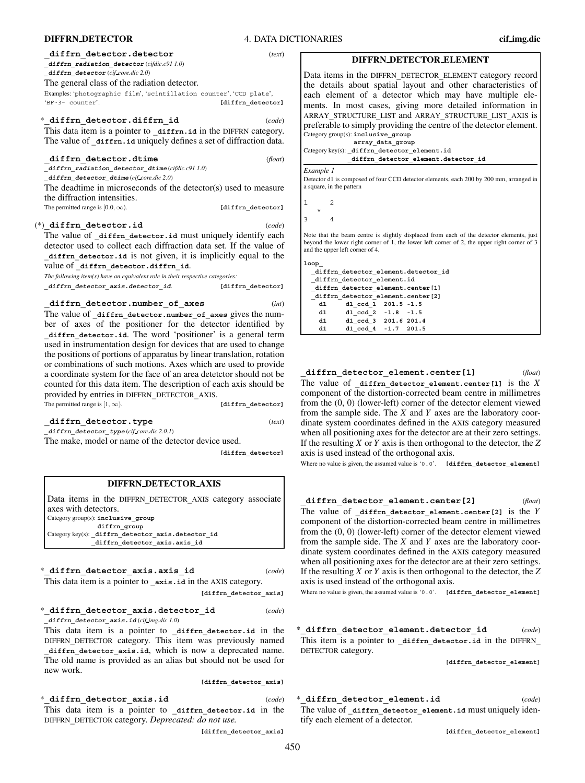## **DIFFRN DETECTOR** 4. DATA DICTIONARIES **cif img.dic**

### **\_diffrn\_detector.detector** (*text*)

**\_diffrn\_radiation\_detector** (*cifdic.c91 1.0*) **\_diffrn\_detector** (*cif core.dic 2.0*) The general class of the radiation detector. Examples: 'photographic film', 'scintillation counter', 'CCD plate',

'BF~3~ counter'. **[diffrn detector]** 

\***\_diffrn\_detector.diffrn\_id** (*code*) This data item is a pointer to diffrn.id in the DIFFRN category. The value of diffrn.id uniquely defines a set of diffraction data.

**\_diffrn\_detector.dtime** (*float*) **\_diffrn\_radiation\_detector\_dtime** (*cifdic.c91 1.0*)

**\_diffrn\_detector\_dtime** (*cif core.dic 2.0*)

The deadtime in microseconds of the detector(s) used to measure the diffraction intensities.

The permitted range is  $[0.0, \infty)$ . **[diffrn\_detector]** 

## (\*)**\_diffrn\_detector.id** (*code*)

The value of diffrn detector.id must uniquely identify each detector used to collect each diffraction data set. If the value of diffrn detector.id is not given, it is implicitly equal to the value of **\_diffrn\_detector.diffrn\_id**.

*The following item(s) have an equivalent role in their respective categories:* **\_diffrn\_detector\_axis.detector\_id**. **[diffrn\_detector]**

**\_diffrn\_detector.number\_of\_axes** (*int*)

The value of diffrn detector.number of axes gives the number of axes of the positioner for the detector identified by diffrn detector.id. The word 'positioner' is a general term used in instrumentation design for devices that are used to change the positions of portions of apparatus by linear translation, rotation or combinations of such motions. Axes which are used to provide a coordinate system for the face of an area detetctor should not be counted for this data item. The description of each axis should be provided by entries in DIFFRN**\_**DETECTOR**\_**AXIS.

The permitted range is  $[1, \infty)$ . **[diffrn\_detector]** 

## **\_diffrn\_detector.type** (*text*)

**\_diffrn\_detector\_type** (*cif core.dic 2.0.1*) The make, model or name of the detector device used.

**[diffrn\_detector]**

## **DIFFRN DETECTOR AXIS**

Data items in the DIFFRN**\_**DETECTOR**\_**AXIS category associate axes with detectors. Category group(s): **inclusive\_group diffrn\_group** Category key(s): diffrn detector axis.detector id \_<br>diffrn detector axis.axis id

\***\_diffrn\_detector\_axis.axis\_id** (*code*) This data item is a pointer to **axis.id** in the AXIS category.

**[diffrn\_detector\_axis]**

\***\_diffrn\_detector\_axis.detector\_id** (*code*) **\_diffrn\_detector\_axis.id** (*cif img.dic 1.0*)

This data item is a pointer to **\_diffrn\_detector.id** in the DIFFRN**\_**DETECTOR category. This item was previously named diffrn detector axis.id, which is now a deprecated name. The old name is provided as an alias but should not be used for new work.

**[diffrn\_detector\_axis]**

\***\_diffrn\_detector\_axis.id** (*code*) This data item is a pointer to **\_diffrn\_detector.id** in the DIFFRN**\_**DETECTOR category. *Deprecated: do not use.*

**[diffrn\_detector\_axis]**

### **DIFFRN DETECTOR ELEMENT**

Data items in the DIFFRN**\_**DETECTOR**\_**ELEMENT category record the details about spatial layout and other characteristics of each element of a detector which may have multiple elements. In most cases, giving more detailed information in ARRAY**\_**STRUCTURE**\_**LIST and ARRAY**\_**STRUCTURE**\_**LIST**\_**AXIS is preferable to simply providing the centre of the detector element. Category group(s): **inclusive\_group**

**array\_data\_group** Category key(s): **\_diffrn\_detector\_element.id \_diffrn\_detector\_element.detector\_id**

### *Example 1*

Detector d1 is composed of four CCD detector elements, each 200 by 200 mm, arranged in a square, in the pattern

1 2 \*

3 4

Note that the beam centre is slightly displaced from each of the detector elements, just beyond the lower right corner of 1, the lower left corner of 2, the upper right corner of 3 and the upper left corner of 4.

### **loop\_**

**\_diffrn\_detector\_element.detector\_id** \_<br>diffrn detector element.id \_<br>diffrn<sup>\_</sup>detector<sup>\_</sup>element.center[1] **\_diffrn\_detector\_element.center[2] d1 d1\_ccd\_1 201.5 -1.5 d1 d1\_ccd\_2 -1.8 -1.5 d1 d1\_ccd\_3 201.6 201.4 d1 d1\_ccd\_4 -1.7 201.5**

**\_diffrn\_detector\_element.center[1]** (*float*) The value of diffrn detector element.center[1] is the  $X$ component of the distortion-corrected beam centre in millimetres from the (0, 0) (lower-left) corner of the detector element viewed from the sample side. The *X* and *Y* axes are the laboratory coordinate system coordinates defined in the AXIS category measured when all positioning axes for the detector are at their zero settings. If the resulting *X* or *Y* axis is then orthogonal to the detector, the *Z* axis is used instead of the orthogonal axis.

Where no value is given, the assumed value is '0.0'. [diffrn\_detector\_element]

**\_diffrn\_detector\_element.center[2]** (*float*) The value of diffrn detector element.center[2] is the *Y* component of the distortion-corrected beam centre in millimetres from the (0, 0) (lower-left) corner of the detector element viewed from the sample side. The *X* and *Y* axes are the laboratory coordinate system coordinates defined in the AXIS category measured when all positioning axes for the detector are at their zero settings. If the resulting *X* or *Y* axis is then orthogonal to the detector, the *Z* axis is used instead of the orthogonal axis.

Where no value is given, the assumed value is '0.0'. [diffrn\_detector\_element]

\***\_diffrn\_detector\_element.detector\_id** (*code*) This item is a pointer to **\_diffrn\_detector.id** in the DIFFRN**\_** DETECTOR category.

**[diffrn\_detector\_element]**

\***\_diffrn\_detector\_element.id** (*code*) The value of **\_diffrn\_detector\_element.id** must uniquely identify each element of a detector.

**[diffrn\_detector\_element]**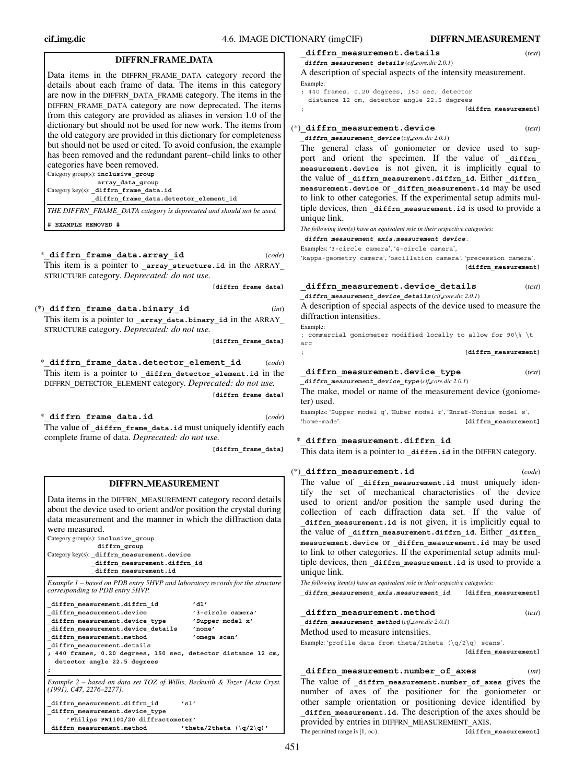### **DIFFRN FRAME DATA**

Data items in the DIFFRN**\_**FRAME**\_**DATA category record the details about each frame of data. The items in this category are now in the DIFFRN**\_**DATA**\_**FRAME category. The items in the DIFFRN**\_**FRAME**\_**DATA category are now deprecated. The items from this category are provided as aliases in version 1.0 of the dictionary but should not be used for new work. The items from the old category are provided in this dictionary for completeness but should not be used or cited. To avoid confusion, the example has been removed and the redundant parent–child links to other categories have been removed. Category group(s): **inclusive\_group**

**array\_data\_group** Category key(s): diffrn frame data.id **\_diffrn\_frame\_data.detector\_element\_id**

*THE DIFFRN***\_***FRAME***\_***DATA category is deprecated and should not be used.*

**# EXAMPLE REMOVED #**

\***\_diffrn\_frame\_data.array\_id** (*code*) This item is a pointer to **array** structure.id in the ARRAY STRUCTURE category. *Deprecated: do not use.*

**[diffrn\_frame\_data]**

(\*)**\_diffrn\_frame\_data.binary\_id** (*int*) This item is a pointer to **array** data.binary id in the ARRAY STRUCTURE category. *Deprecated: do not use.*

**[diffrn\_frame\_data]**

\***\_diffrn\_frame\_data.detector\_element\_id** (*code*) This item is a pointer to diffrn detector element.id in the DIFFRN**\_**DETECTOR**\_**ELEMENT category. *Deprecated: do not use.* **[diffrn\_frame\_data]**

\***\_diffrn\_frame\_data.id** (*code*) The value of diffrn frame data.id must uniquely identify each complete frame of data. *Deprecated: do not use.*

**[diffrn\_frame\_data]**

## **DIFFRN MEASUREMENT**

Data items in the DIFFRN**\_**MEASUREMENT category record details about the device used to orient and/or position the crystal during data measurement and the manner in which the diffraction data were measured.

Category group(s): **inclusive\_group diffrn\_group**

| $Category key(s): diffrn measurement.device$ |  |
|----------------------------------------------|--|
| diffrn measurement.diffrn id                 |  |
| diffrn measurement.id                        |  |

*Example 1 – based on PDB entry 5HVP and laboratory records for the structure corresponding to PDB entry 5HVP.*

| diffrn measurement.diffrn id                                  | $'$ d1 $'$        |
|---------------------------------------------------------------|-------------------|
| diffrn measurement.device                                     | '3-circle camera' |
| diffrn measurement.device type                                | 'Supper model x'  |
| diffrn measurement.device details                             | 'none'            |
| diffrn measurement.method                                     | 'omega scan'      |
| diffrn measurement.details                                    |                   |
| ; 440 frames, 0.20 degrees, 150 sec, detector distance 12 cm, |                   |
| detector angle 22.5 degrees                                   |                   |

**;** *Example 2 – based on data set TOZ of Willis, Beckwith & Tozer [Acta Cryst. (1991), C47, 2276–2277].* **\_diffrn\_measurement.diffrn\_id 's1'**

**\_diffrn\_measurement.device\_type 'Philips PW1100/20 diffractometer'** diffrn measurement.method 'theta/2theta  $(\qquad q/2\qquadq)$ '

# **\_diffrn\_measurement.details** (*text*)

**\_diffrn\_measurement\_details** (*cif core.dic 2.0.1*)

A description of special aspects of the intensity measurement. Example:

; 440 frames, 0.20 degrees, 150 sec, detector

distance 12 cm, detector angle 22.5 degrees

[diffrn\_measurement]

(\*)**\_diffrn\_measurement.device** (*text*) **\_diffrn\_measurement\_device** (*cif core.dic 2.0.1*)

The general class of goniometer or device used to support and orient the specimen. If the value of diffrn **measurement.device** is not given, it is implicitly equal to the value of **\_diffrn\_measurement.diffrn\_id**. Either **\_diffrn\_ measurement.device** or **\_diffrn\_measurement.id** may be used to link to other categories. If the experimental setup admits multiple devices, then diffrn measurement.id is used to provide a unique link.

*The following item(s) have an equivalent role in their respective categories:*

**\_diffrn\_measurement\_axis.measurement\_device** .

Examples: '3-circle camera', '4-circle camera',

'kappa-geometry camera', 'oscillation camera', 'precession camera'. **[diffrn\_measurement]**

**\_diffrn\_measurement.device\_details** (*text*)

**\_diffrn\_measurement\_device\_details** (*cif core.dic 2.0.1*)

A description of special aspects of the device used to measure the diffraction intensities.

Example:

; commercial goniometer modified locally to allow for 90\% \t arc

[diffrn\_measurement]

**\_diffrn\_measurement.device\_type** (*text*) **\_diffrn\_measurement\_device\_type** (*cif core.dic 2.0.1*)

The make, model or name of the measurement device (goniometer) used.

Examples: 'Supper model q', 'Huber model r', 'Enraf-Nonius model s', 'home-made'. **[diffrn\_measurement]**

## \***\_diffrn\_measurement.diffrn\_id**

This data item is a pointer to diffrn.id in the DIFFRN category.

(\*)**\_diffrn\_measurement.id** (*code*) The value of diffrn measurement.id must uniquely identify the set of mechanical characteristics of the device used to orient and/or position the sample used during the collection of each diffraction data set. If the value of **\_diffrn\_measurement.id** is not given, it is implicitly equal to the value of diffrn measurement.diffrn id. Either diffrn **measurement.device** or **\_diffrn\_measurement.id** may be used to link to other categories. If the experimental setup admits multiple devices, then diffrn measurement.id is used to provide a unique link.

*The following item(s) have an equivalent role in their respective categories:*

**\_diffrn\_measurement\_axis.measurement\_id**. **[diffrn\_measurement]**

|  | diffrn measurement.method | (text) |
|--|---------------------------|--------|
|--|---------------------------|--------|

**\_diffrn\_measurement\_method** (*cif core.dic 2.0.1*) Method used to measure intensities.

Example: 'profile data from theta/2theta  $(\qquad q/2\qquadq)$  scans'.

**[diffrn\_measurement]**

**\_diffrn\_measurement.number\_of\_axes** (*int*)

The value of **\_diffrn\_measurement.number\_of\_axes** gives the number of axes of the positioner for the goniometer or other sample orientation or positioning device identified by **\_diffrn\_measurement.id**. The description of the axes should be provided by entries in DIFFRN**\_**MEASUREMENT**\_**AXIS.

 $\textbf{The permitted range is } [1, \infty). \tag{\textbf{differn\_measurement}}$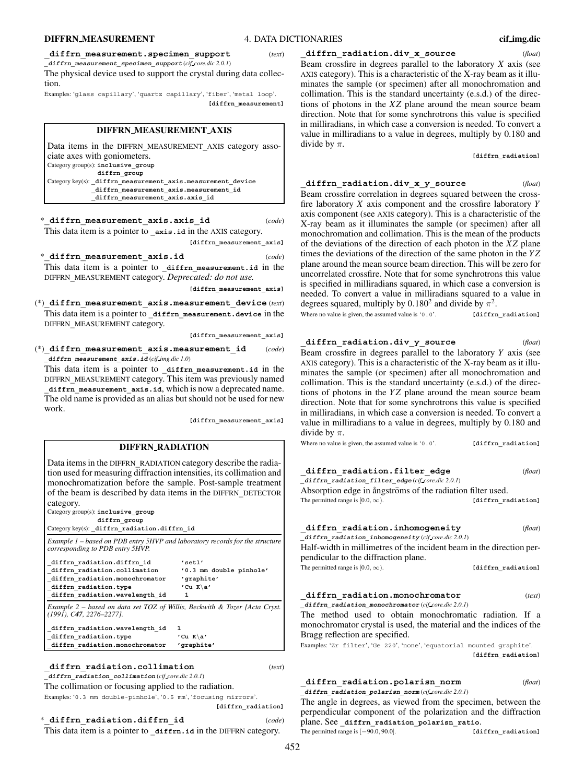### **DIFFRN MEASUREMENT** 4. DATA DICTIONARIES **cif img.dic**

**\_diffrn\_measurement.specimen\_support** (*text*)

**\_diffrn\_measurement\_specimen\_support** (*cif core.dic 2.0.1*) The physical device used to support the crystal during data collection.

Examples: 'glass capillary', 'quartz capillary', 'fiber', 'metal loop'. **[diffrn\_measurement]**

## **DIFFRN MEASUREMENT AXIS**

Data items in the DIFFRN**\_**MEASUREMENT**\_**AXIS category associate axes with goniometers. Category group(s): **inclusive\_group diffrn\_group** Category key(s): **\_diffrn\_measurement\_axis.measurement\_device \_diffrn\_measurement\_axis.measurement\_id \_diffrn\_measurement\_axis.axis\_id**

\***\_diffrn\_measurement\_axis.axis\_id** (*code*) This data item is a pointer to **axis.id** in the AXIS category.

**[diffrn\_measurement\_axis]**

## \***\_diffrn\_measurement\_axis.id** (*code*)

This data item is a pointer to **\_diffrn\_measurement.id** in the DIFFRN**\_**MEASUREMENT category. *Deprecated: do not use.*

**[diffrn\_measurement\_axis]**

(\*)**\_diffrn\_measurement\_axis.measurement\_device** (*text*) This data item is a pointer to diffrn measurement.device in the DIFFRN**\_**MEASUREMENT category.

**[diffrn\_measurement\_axis]**

(\*)**\_diffrn\_measurement\_axis.measurement\_id** (*code*) **\_diffrn\_measurement\_axis.id** (*cif img.dic 1.0*)

This data item is a pointer to **\_diffrn\_measurement.id** in the DIFFRN**\_**MEASUREMENT category. This item was previously named diffrn measurement axis.id, which is now a deprecated name. The old name is provided as an alias but should not be used for new work.

**[diffrn\_measurement\_axis]**

| <b>DIFFRN_RADIATION</b>                                                                                                                                                                                                                                                                                                                                                                   |                                                                               |  |  |
|-------------------------------------------------------------------------------------------------------------------------------------------------------------------------------------------------------------------------------------------------------------------------------------------------------------------------------------------------------------------------------------------|-------------------------------------------------------------------------------|--|--|
| Data items in the DIFFRN RADIATION category describe the radia-<br>tion used for measuring diffraction intensities, its collimation and<br>monochromatization before the sample. Post-sample treatment<br>of the beam is described by data items in the DIFFRN DETECTOR<br>category.<br>Category group(s): inclusive group<br>diffrn group<br>Category key(s): diffrn radiation.diffrn id |                                                                               |  |  |
| Example $1$ – based on PDB entry 5HVP and laboratory records for the structure<br>corresponding to PDB entry 5HVP.                                                                                                                                                                                                                                                                        |                                                                               |  |  |
| diffrn radiation.diffrn id<br>diffrn radiation.collimation<br>diffrn radiation.monochromator<br>diffrn radiation.type<br>diffrn radiation.wavelength id                                                                                                                                                                                                                                   | $'$ set $1'$<br>'0.3 mm double pinhole'<br>'graphite'<br>$'$ Cu K $\a'$<br>1. |  |  |
| Example 2 - based on data set TOZ of Willis, Beckwith & Tozer [Acta Cryst.<br>$(1991)$ , C47, 2276-2277].                                                                                                                                                                                                                                                                                 |                                                                               |  |  |
| diffrn radiation.wavelength id<br>diffrn radiation.type<br>diffrn radiation.monochromator                                                                                                                                                                                                                                                                                                 | 1.<br>$'$ Cu K $\a'$<br>'graphite'                                            |  |  |
| diffrn radiation.collimation<br>(text)<br>$diffrn$ radiation collimation (cif core.dic 2.0.1)                                                                                                                                                                                                                                                                                             |                                                                               |  |  |

The collimation or focusing applied to the radiation.

Examples: '0.3 mm double-pinhole', '0.5 mm', 'focusing mirrors'.

**[diffrn\_radiation]**

\***\_diffrn\_radiation.diffrn\_id** (*code*) This data item is a pointer to **\_diffrn.id** in the DIFFRN category.

**\_diffrn\_radiation.div\_x\_source** (*float*)

Beam crossfire in degrees parallel to the laboratory *X* axis (see AXIS category). This is a characteristic of the X-ray beam as it illuminates the sample (or specimen) after all monochromation and collimation. This is the standard uncertainty (e.s.d.) of the directions of photons in the *XZ* plane around the mean source beam direction. Note that for some synchrotrons this value is specified in milliradians, in which case a conversion is needed. To convert a value in milliradians to a value in degrees, multiply by 0.180 and divide by  $\pi$ .

**[diffrn\_radiation]**

## **\_diffrn\_radiation.div\_x\_y\_source** (*float*)

Beam crossfire correlation in degrees squared between the crossfire laboratory *X* axis component and the crossfire laboratory *Y* axis component (see AXIS category). This is a characteristic of the X-ray beam as it illuminates the sample (or specimen) after all monochromation and collimation. This is the mean of the products of the deviations of the direction of each photon in the *XZ* plane times the deviations of the direction of the same photon in the *Y Z* plane around the mean source beam direction. This will be zero for uncorrelated crossfire. Note that for some synchrotrons this value is specified in milliradians squared, in which case a conversion is needed. To convert a value in milliradians squared to a value in degrees squared, multiply by  $0.180^2$  and divide by  $\pi^2$ .

Where no value is given, the assumed value is '0.0'. [diffrn\_radiation]

## **\_diffrn\_radiation.div\_y\_source** (*float*)

Beam crossfire in degrees parallel to the laboratory *Y* axis (see AXIS category). This is a characteristic of the X-ray beam as it illuminates the sample (or specimen) after all monochromation and collimation. This is the standard uncertainty (e.s.d.) of the directions of photons in the *YZ* plane around the mean source beam direction. Note that for some synchrotrons this value is specified in milliradians, in which case a conversion is needed. To convert a value in milliradians to a value in degrees, multiply by 0.180 and divide by  $\pi$ .

Where no value is given, the assumed value is '0.0'. [diffrn\_radiation]

| diffrn radiation.filter edge                       | (float) |
|----------------------------------------------------|---------|
| $diffrn$ radiation filter edge(cif core.dic 2.0.1) |         |

Absorption edge in ångströms of the radiation filter used. The permitted range is  $[0.0, \infty)$ . **[diffrn\_radiation]** 

# **\_diffrn\_radiation.inhomogeneity** (*float*)

**\_diffrn\_radiation\_inhomogeneity** (*cif core.dic 2.0.1*) Half-width in millimetres of the incident beam in the direction perpendicular to the diffraction plane.

The permitted range is  $[0.0, \infty)$ . **[diffrn\_radiation]** 

## **\_diffrn\_radiation.monochromator** (*text*) **\_diffrn\_radiation\_monochromator** (*cif core.dic 2.0.1*)

The method used to obtain monochromatic radiation. If a monochromator crystal is used, the material and the indices of the Bragg reflection are specified.

Examples: 'Zr filter', 'Ge 220', 'none', 'equatorial mounted graphite'. **[diffrn\_radiation]**

| diffrn radiation.polarisn norm | (float) |
|--------------------------------|---------|
|--------------------------------|---------|

**\_diffrn\_radiation\_polarisn\_norm** (*cif core.dic 2.0.1*)

The angle in degrees, as viewed from the specimen, between the perpendicular component of the polarization and the diffraction plane. See **\_diffrn\_radiation\_polarisn\_ratio**.

The permitted range is [−90.0, 90.0]. **[diffrn** radiation]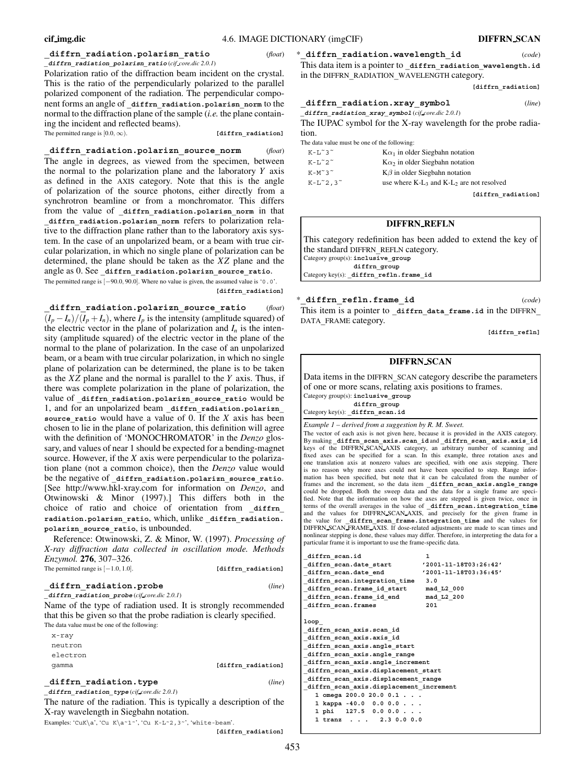**\_diffrn\_radiation.polarisn\_ratio** (*float*) **\_diffrn\_radiation\_polarisn\_ratio** (*cif core.dic 2.0.1*)

Polarization ratio of the diffraction beam incident on the crystal. This is the ratio of the perpendicularly polarized to the parallel polarized component of the radiation. The perpendicular component forms an angle of diffrn radiation.polarisn norm to the normal to the diffraction plane of the sample (*i.e.* the plane containing the incident and reflected beams). The permitted range is  $[0.0, \infty)$ . **[diffrn** radiation]

**\_diffrn\_radiation.polarizn\_source\_norm** (*float*) The angle in degrees, as viewed from the specimen, between the normal to the polarization plane and the laboratory *Y* axis as defined in the AXIS category. Note that this is the angle of polarization of the source photons, either directly from a synchrotron beamline or from a monchromator. This differs from the value of diffrn radiation.polarisn norm in that **\_diffrn\_radiation.polarisn\_norm** refers to polarization relative to the diffraction plane rather than to the laboratory axis system. In the case of an unpolarized beam, or a beam with true circular polarization, in which no single plane of polarization can be determined, the plane should be taken as the *XZ* plane and the angle as 0. See diffrn radiation.polarizn source ratio.

The permitted range is [−90.0, 90.0]. Where no value is given, the assumed value is '0.0'. **[diffrn\_radiation]**

**\_diffrn\_radiation.polarizn\_source\_ratio** (*float*)  $(I_p - I_n)/(I_p + I_n)$ , where  $I_p$  is the intensity (amplitude squared) of the electric vector in the plane of polarization and  $I_n$  is the intensity (amplitude squared) of the electric vector in the plane of the normal to the plane of polarization. In the case of an unpolarized beam, or a beam with true circular polarization, in which no single plane of polarization can be determined, the plane is to be taken as the *XZ* plane and the normal is parallel to the *Y* axis. Thus, if there was complete polarization in the plane of polarization, the value of **\_diffrn\_radiation.polarizn\_source\_ratio** would be 1, and for an unpolarized beam diffrn radiation.polarizn **source\_ratio** would have a value of 0. If the *X* axis has been chosen to lie in the plane of polarization, this definition will agree with the definition of 'MONOCHROMATOR' in the *Denzo* glossary, and values of near 1 should be expected for a bending-magnet source. However, if the *X* axis were perpendicular to the polarization plane (not a common choice), then the *Denzo* value would be the negative of **\_diffrn\_radiation.polarizn\_source\_ratio**. [See http://www.hkl-xray.com for information on *Denzo*, and Otwinowski & Minor (1997).] This differs both in the choice of ratio and choice of orientation from diffrn **radiation.polarisn\_ratio**, which, unlike **\_diffrn\_radiation. polarizn\_source\_ratio**, is unbounded.

Reference: Otwinowski, Z. & Minor, W. (1997). *Processing of X-ray diffraction data collected in oscillation mode. Methods Enzymol.* **276**, 307–326. The permitted range is [−1.0, 1.0]. **[diffrn\_radiation]**

| The permitted range is $[-1.0, 1.0]$ . | lattrin radiacion! |
|----------------------------------------|--------------------|
|                                        |                    |
|                                        |                    |

### **\_diffrn\_radiation.probe** (*line*) **\_diffrn\_radiation\_probe** (*cif core.dic 2.0.1*)

Name of the type of radiation used. It is strongly recommended that this be given so that the probe radiation is clearly specified. The data value must be one of the following:

| [diffrn radiation] |
|--------------------|
|                    |

### **\_diffrn\_radiation.type** (*line*)

**\_diffrn\_radiation\_type** (*cif core.dic 2.0.1*)

The nature of the radiation. This is typically a description of the X-ray wavelength in Siegbahn notation.

Examples: 'CuK\a', 'Cu K\a˜1˜', 'Cu K-L˜2,3˜', 'white-beam'.

**[diffrn\_radiation]**

\***\_diffrn\_radiation.wavelength\_id** (*code*)

This data item is a pointer to **\_diffrn\_radiation\_wavelength.id** in the DIFFRN**\_**RADIATION**\_**WAVELENGTH category.

**[diffrn\_radiation]**

| diffrn radiation.xray symbol                                   | (line) |
|----------------------------------------------------------------|--------|
| diffrn radiation xray symbol(cif core.dic 2.0.1)               |        |
| The IUPAC symbol for the X-ray wavelength for the probe radia- |        |
| tion.                                                          |        |
| The data value must be one of the following:                   |        |
|                                                                |        |

| $K-L^{\sim}3^{\sim}$   | $K\alpha_1$ in older Siegbahn notation         |
|------------------------|------------------------------------------------|
| $K-L^{\sim}2^{\sim}$   | $K\alpha$ in older Siegbahn notation           |
| $K-M^{\sim}3^{\sim}$   | $K\beta$ in older Siegbahn notation            |
| $K-L^{\sim}2.3^{\sim}$ | use where $K-L_3$ and $K-L_2$ are not resolved |

**[diffrn\_radiation]**

## **DIFFRN REFLN**

This category redefinition has been added to extend the key of the standard DIFFRN**\_**REFLN category. Category group(s): **inclusive\_group diffrn\_group** Category key(s): **diffrn** refln.frame id

\***\_diffrn\_refln.frame\_id** (*code*)

This item is a pointer to diffrn data frame.id in the DIFFRN DATA**\_**FRAME category.

**[diffrn\_refln]**

### **DIFFRN SCAN**

Data items in the DIFFRN**\_**SCAN category describe the parameters of one or more scans, relating axis positions to frames. Category group(s): **inclusive\_group**

**diffrn\_group** Category key(s): diffrn scan.id

*Example 1 – derived from a suggestion by R. M. Sweet.*

The vector of each axis is not given here, because it is provided in the AXIS category. By making **\_diffrn\_scan\_axis.scan\_id** and **\_diffrn\_scan\_ axis.axis\_id** keys of the DIFFRN SCAN AXIS category, an arbitrary number of scanning and fixed axes can be specified for a scan. In this example, three rotation axes and one translation axis at nonzero values are specified, with one axis stepping. There is no reason why more axes could not have been specified to step. Range information has been specified, but note that it can be calculated from the number of frames and the increment, so the data item **\_diffrn\_scan\_axis.angle\_range** could be dropped. Both the sweep data and the data for a single frame are specified. Note that the information on how the axes are stepped is given terms of the overall averages in the value of **\_diffrn\_scan.integration\_time** and the values for DIFFRN SCAN AXIS, and precisely for the given frame in the value for **\_diffrn\_scan\_frame.integration\_time** and the values for DIFFRN\_SCAN\_FRAME\_ $\overline{A}XIS$ . If dose-related adjustments are made to scan times and nonlinear stepping is done, these values may differ. Therefore, in interpreting the data for a particular frame it is important to use the frame-specific data.

| diffrn scan.id                          | 1                     |  |  |  |  |
|-----------------------------------------|-----------------------|--|--|--|--|
| diffrn scan.date start                  | '2001-11-18T03:26:42' |  |  |  |  |
| diffrn scan.date end                    | '2001-11-18T03:36:45' |  |  |  |  |
| diffrn scan.integration time 3.0        |                       |  |  |  |  |
| diffrn scan.frame id start mad L2 000   |                       |  |  |  |  |
| diffrn scan.frame id end mad L2 200     |                       |  |  |  |  |
| diffrn scan.frames                      | 201                   |  |  |  |  |
|                                         |                       |  |  |  |  |
| loop                                    |                       |  |  |  |  |
| diffrn scan axis.scan id                |                       |  |  |  |  |
| diffrn scan axis.axis id                |                       |  |  |  |  |
| diffrn scan axis.angle start            |                       |  |  |  |  |
| diffrn scan axis.angle range            |                       |  |  |  |  |
| diffrn scan axis.angle increment        |                       |  |  |  |  |
| diffrn scan axis.displacement start     |                       |  |  |  |  |
| diffrn scan axis.displacement range     |                       |  |  |  |  |
| diffrn scan axis.displacement increment |                       |  |  |  |  |
| $1$ omega 200.0 20.0 0.1                |                       |  |  |  |  |
| $1$ kappa -40.0 0.0 0.0                 |                       |  |  |  |  |
| 1 phi 127.5 0.0 0.0                     |                       |  |  |  |  |
| 1 tranz 2.3 0.0 0.0                     |                       |  |  |  |  |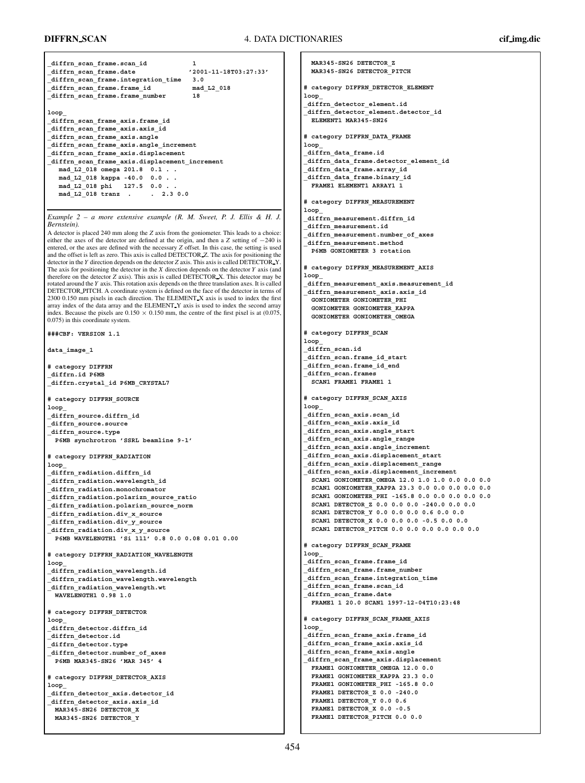```
_diffrn_scan_frame.scan_id 1
_diffrn_scan_frame.date '2001-11-18T03:27:33'
_diffrn_scan_frame.integration_time 3.0
_diffrn_scan_frame.frame_id mad_L2_018
_diffrn_scan_frame.frame_number 18
loop_
_diffrn_scan_frame_axis.frame_id
_diffrn_scan_frame_axis.axis_id
_diffrn_scan_frame_axis.angle
_diffrn_scan_frame_axis.angle_increment
_diffrn_scan_frame_axis.displacement
_diffrn_scan_frame_axis.displacement_increment
  mad_L2_018 omega 201.8 0.1 . .
   mad_L2_018 kappa -40.0 0.0 . .
   mad_L2_018 phi 127.5 0.0 . .
   mad_L2_018 tranz . . 2.3 0.0
Example 2 – a more extensive example (R. M. Sweet, P. J. Ellis & H. J.
Bernstein).
A detector is placed 240 mm along the Z axis from the goniometer. This leads to a choice:
either the axes of the detector are defined at the origin, and then a Z setting of −240 is
entered, or the axes are defined with the necessary Z offset. In this case, the setting is used
and the offset is left as zero. This axis is called DETECTOR Z. The axis for positioning the
detector in the Y direction depends on the detector Z axis. This axis is called DETECTOR Y.
The axis for positioning the detector in the X direction depends on the detector Y axis (and
therefore on the detector Z axis). This axis is called DETECTOR X. This detector may be
rotated around the Y axis. This rotation axis depends on the three translation axes. It is called
DETECTOR PITCH. A coordinate system is defined on the face of the detector in terms of
2300 0.150 mm pixels in each direction. The ELEMENT X axis is used to index the first
array index of the data array and the ELEMENT Y axis is used to index the second array
index. Because the pixels are 0.150 \times 0.150 mm, the centre of the first pixel is at (0.075)0.075) in this coordinate system.
###CBF: VERSION 1.1
data_image_1
# category DIFFRN
_diffrn.id P6MB
_<br>diffrn.crystal id P6MB CRYSTAL7
# category DIFFRN_SOURCE
loop_
_diffrn_source.diffrn_id
_diffrn_source.source
_diffrn_source.type
 P6MB synchrotron 'SSRL beamline 9-1'
# category DIFFRN_RADIATION
loop_
_diffrn_radiation.diffrn_id
_diffrn_radiation.wavelength_id
_diffrn_radiation.monochromator
_diffrn_radiation.polarizn_source_ratio
_diffrn_radiation.polarizn_source_norm
_diffrn_radiation.div_x_source
_diffrn_radiation.div_y_source
_diffrn_radiation.div_x_y_source
 P6MB WAVELENGTH1 'Si 111' 0.8 0.0 0.08 0.01 0.00
# category DIFFRN_RADIATION_WAVELENGTH
loop_
_diffrn_radiation_wavelength.id
_diffrn_radiation_wavelength.wavelength
_diffrn_radiation_wavelength.wt
  WAVELENGTH1 0.98 1.0
# category DIFFRN_DETECTOR
loop_
_diffrn_detector.diffrn_id
_diffrn_detector.id
_diffrn_detector.type
_diffrn_detector.number_of_axes
 P6MB MAR345-SN26 'MAR 345' 4
# category DIFFRN_DETECTOR_AXIS
loop_
_diffrn_detector_axis.detector_id
_diffrn_detector_axis.axis_id
 MAR345-SN26 DETECTOR_X
  MAR345-SN26 DETECTOR_Y
```

```
MAR345-SN26 DETECTOR_Z
  MAR345-SN26 DETECTOR_PITCH
# category DIFFRN_DETECTOR_ELEMENT
loop_
_diffrn_detector_element.id
_<br>diffrn<sup>_</sup>detector_element.detector_id
  ELEMENT1 MAR345-SN26
# category DIFFRN_DATA_FRAME
loop_
_diffrn_data_frame.id
_diffrn_data_frame.detector_element_id
_diffrn_data_frame.array_id
_diffrn_data_frame.binary_id
  FRAME1 ELEMENT1 ARRAY1 1
# category DIFFRN_MEASUREMENT
loop_
_diffrn_measurement.diffrn_id
_diffrn_measurement.id
_diffrn_measurement.number_of_axes
_diffrn_measurement.method
  P6MB GONIOMETER 3 rotation
# category DIFFRN_MEASUREMENT_AXIS
loop_
 _diffrn_measurement_axis.measurement_id
_diffrn_measurement_axis.axis_id
  GONIOMETER GONIOMETER_PHI
  GONIOMETER GONIOMETER_KAPPA
  GONIOMETER GONIOMETER_OMEGA
# category DIFFRN_SCAN
loop_
_diffrn_scan.id
_diffrn_scan.frame_id_start
_diffrn_scan.frame_id_end
_diffrn_scan.frames
  SCAN1 FRAME1 FRAME1 1
# category DIFFRN_SCAN_AXIS
loop_
_diffrn_scan_axis.scan_id
_diffrn_scan_axis.axis_id
_diffrn_scan_axis.angle_start
_diffrn_scan_axis.angle_range
_diffrn_scan_axis.angle_increment
_diffrn_scan_axis.displacement_start
_diffrn_scan_axis.displacement_range
_diffrn_scan_axis.displacement_increment
  SCAN1 GONIOMETER_OMEGA 12.0 1.0 1.0 0.0 0.0 0.0
  SCAN1 GONIOMETER_KAPPA 23.3 0.0 0.0 0.0 0.0 0.0
  SCAN1 GONIOMETER_PHI -165.8 0.0 0.0 0.0 0.0 0.0
  SCAN1 DETECTOR_Z 0.0 0.0 0.0 -240.0 0.0 0.0
  SCAN1 DETECTOR_Y 0.0 0.0 0.0 0.6 0.0 0.0
  SCAN1 DETECTOR_X 0.0 0.0 0.0 -0.5 0.0 0.0
  SCAN1 DETECTOR_PITCH 0.0 0.0 0.0 0.0 0.0 0.0
# category DIFFRN_SCAN_FRAME
loop_
_diffrn_scan_frame.frame_id
_diffrn_scan_frame.frame_number
_diffrn_scan_frame.integration_time
_diffrn_scan_frame.scan_id
_diffrn_scan_frame.date
  FRAME1 1 20.0 SCAN1 1997-12-04T10:23:48
# category DIFFRN_SCAN_FRAME_AXIS
loop_
_diffrn_scan_frame_axis.frame_id
_diffrn_scan_frame_axis.axis_id
_diffrn_scan_frame_axis.angle
_diffrn_scan_frame_axis.displacement
  FRAME1 GONIOMETER_OMEGA 12.0 0.0
  FRAME1 GONIOMETER_KAPPA 23.3 0.0
  FRAME1 GONIOMETER_PHI -165.8 0.0
  FRAME1 DETECTOR_Z 0.0 -240.0
  FRAME1 DETECTOR_Y 0.0 0.6
  FRAME1 DETECTOR_X 0.0 -0.5
  FRAME1 DETECTOR_PITCH 0.0 0.0
```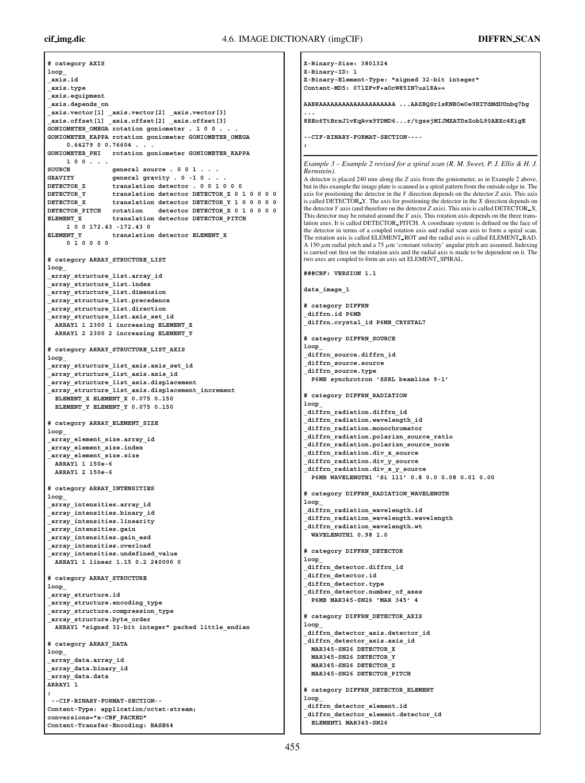### **cif img.dic** 4.6. IMAGE DICTIONARY (imgCIF) **DIFFRN SCAN**

**# category AXIS loop\_ \_axis.id \_axis.type \_axis.equipment \_axis.depends\_on \_axis.vector[1] \_axis.vector[2] \_axis.vector[3] \_axis.offset[1] \_axis.offset[2] \_axis.offset[3] GONIOMETER\_OMEGA rotation goniometer . 1 0 0 . . . GONIOMETER\_KAPPA rotation goniometer GONIOMETER\_OMEGA 0.64279 0 0.76604 . . . GONIOMETER\_PHI rotation goniometer GONIOMETER\_KAPPA** 100... **SOURCE** general source . 0 0 1 . . .<br> **GRAVITY** general gravity . 0 -1 0 . . **GRAVITY general gravity . 0 -1 0 . . . DETECTOR\_Z translation detector . 0 0 1 0 0 0** DETECTOR Y translation detector DETECTOR Z 0 1 0 0 0 0 **DETECTOR X** translation detector DETECTOR Y 1 0 0 0 0 0 **DETECTOR\_PITCH rotation detector DETECTOR\_X 0 1 0 0 0 0 ELEMENT\_X translation detector DETECTOR\_PITCH 1 0 0 172.43 -172.43 0 ELEMENT\_Y translation detector ELEMENT\_X 010000 # category ARRAY\_STRUCTURE\_LIST loop\_ \_array\_structure\_list.array\_id \_array\_structure\_list.index \_array\_structure\_list.dimension \_array\_structure\_list.precedence \_array\_structure\_list.direction \_array\_structure\_list.axis\_set\_id ARRAY1 1 2300 1 increasing ELEMENT\_X ARRAY1 2 2300 2 increasing ELEMENT\_Y # category ARRAY\_STRUCTURE\_LIST\_AXIS loop\_ \_array\_structure\_list\_axis.axis\_set\_id \_array\_structure\_list\_axis.axis\_id \_array\_structure\_list\_axis.displacement \_array\_structure\_list\_axis.displacement\_increment ELEMENT\_X ELEMENT\_X 0.075 0.150 ELEMENT\_Y ELEMENT\_Y 0.075 0.150 # category ARRAY\_ELEMENT\_SIZE loop\_ \_array\_element\_size.array\_id \_array\_element\_size.index \_array\_element\_size.size ARRAY1 1 150e-6 ARRAY1 2 150e-6 # category ARRAY\_INTENSITIES loop\_ \_array\_intensities.array\_id \_array\_intensities.binary\_id \_array\_intensities.linearity \_array\_intensities.gain \_array\_intensities.gain\_esd \_array\_intensities.overload \_array\_intensities.undefined\_value ARRAY1 1 linear 1.15 0.2 240000 0 # category ARRAY\_STRUCTURE loop\_ \_array\_structure.id \_array\_structure.encoding\_type \_array\_structure.compression\_type \_array\_structure.byte\_order ARRAY1 "signed 32-bit integer" packed little\_endian # category ARRAY\_DATA loop\_ \_array\_data.array\_id \_array\_data.binary\_id \_array\_data.data**  $ARRY1$ <sup>1</sup> **; --CIF-BINARY-FORMAT-SECTION-- Content-Type: application/octet-stream; conversions="x-CBF\_PACKED" Content-Transfer-Encoding: BASE64**

**X-Binary-Size: 3801324 X-Binary-ID: 1 X-Binary-Element-Type: "signed 32-bit integer" Content-MD5: 07lZFvF+aOcW85IN7usl8A== AABRAAAAAAAAAAAAAAAAAAAA ...AAZBQSr1sKNBOeOe9HITdMdDUnbq7bg ... 8REo6TtBrxJ1vKqAvx9YDMD6...r/tgssjMIJMXATDsZobL90AEXc4KigE --CIF-BINARY-FORMAT-SECTION---- ;** *Example 3 – Example 2 revised for a spiral scan (R. M. Sweet, P. J. Ellis & H. J. Bernstein).* A detector is placed 240 mm along the *Z* axis from the goniometer, as in Example 2 above, but in this example the image plate is scanned in a spiral pattern from the outside edge in. The axis for positioning the detector in the *Y* direction depends on the detector *Z* axis. This axis is called DETECTOR Y. The axis for positioning the detector in the *X* direction depends on the detector *Y* axis (and therefore on the detector *Z* axis). This axis is called DETECTOR X. This detector may be rotated around the *Y* axis. This rotation axis depends on the three translation axes. It is called DETECTOR PITCH. A coordinate system is defined on the face of the detector in terms of a coupled rotation axis and radial scan axis to form a spiral scan. The rotation axis is called ELEMENT ROT and the radial axis is called ELEMENT RAD. A 150  $\mu$ m radial pitch and a 75  $\mu$ m 'constant velocity' angular pitch are assumed. Indexing is carried out first on the rotation axis and the radial axis is made to be dependent on it. The two axes are coupled to form an axis set ELEMENT SPIRAL. **###CBF: VERSION 1.1 data\_image\_1 # category DIFFRN \_diffrn.id P6MB \_diffrn.crystal\_id P6MB\_CRYSTAL7 # category DIFFRN\_SOURCE loop\_ \_diffrn\_source.diffrn\_id \_diffrn\_source.source \_diffrn\_source.type P6MB synchrotron 'SSRL beamline 9-1' # category DIFFRN\_RADIATION loop\_ \_diffrn\_radiation.diffrn\_id \_diffrn\_radiation.wavelength\_id \_diffrn\_radiation.monochromator \_diffrn\_radiation.polarizn\_source\_ratio \_diffrn\_radiation.polarizn\_source\_norm \_diffrn\_radiation.div\_x\_source \_diffrn\_radiation.div\_y\_source \_diffrn\_radiation.div\_x\_y\_source P6MB WAVELENGTH1 'Si 111' 0.8 0.0 0.08 0.01 0.00 # category DIFFRN\_RADIATION\_WAVELENGTH loop\_ \_diffrn\_radiation\_wavelength.id \_diffrn\_radiation\_wavelength.wavelength \_diffrn\_radiation\_wavelength.wt WAVELENGTH1 0.98 1.0 # category DIFFRN\_DETECTOR loop\_ \_diffrn\_detector.diffrn\_id \_diffrn\_detector.id \_diffrn\_detector.type \_diffrn\_detector.number\_of\_axes P6MB MAR345-SN26 'MAR 345' 4 # category DIFFRN\_DETECTOR\_AXIS loop\_ \_diffrn\_detector\_axis.detector\_id \_diffrn\_detector\_axis.axis\_id MAR345-SN26 DETECTOR\_X MAR345-SN26 DETECTOR\_Y MAR345-SN26 DETECTOR\_Z MAR345-SN26 DETECTOR\_PITCH # category DIFFRN\_DETECTOR\_ELEMENT loop\_ \_diffrn\_detector\_element.id \_diffrn\_detector\_element.detector\_id**

**ELEMENT1 MAR345-SN26**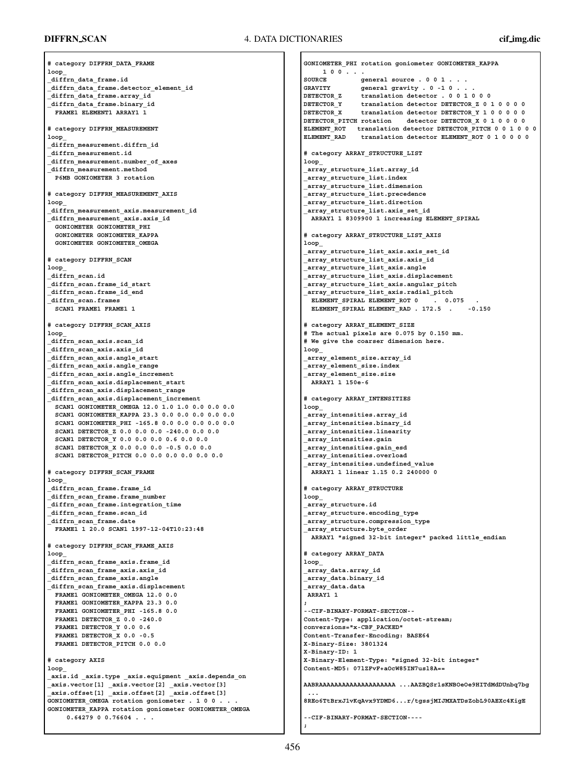## **DIFFRN SCAN** 4. DATA DICTIONARIES **cif img.dic**

**# category DIFFRN\_DATA\_FRAME loop\_ \_diffrn\_data\_frame.id \_diffrn\_data\_frame.detector\_element\_id \_diffrn\_data\_frame.array\_id \_diffrn\_data\_frame.binary\_id FRAME1 ELEMENT1 ARRAY1 1 # category DIFFRN\_MEASUREMENT loop\_ \_diffrn\_measurement.diffrn\_id \_diffrn\_measurement.id \_diffrn\_measurement.number\_of\_axes \_diffrn\_measurement.method P6MB GONIOMETER 3 rotation # category DIFFRN\_MEASUREMENT\_AXIS loop\_ \_diffrn\_measurement\_axis.measurement\_id \_diffrn\_measurement\_axis.axis\_id GONIOMETER GONIOMETER\_PHI GONIOMETER GONIOMETER\_KAPPA GONIOMETER GONIOMETER\_OMEGA # category DIFFRN\_SCAN loop\_ \_diffrn\_scan.id \_diffrn\_scan.frame\_id\_start \_diffrn\_scan.frame\_id\_end \_diffrn\_scan.frames SCAN1 FRAME1 FRAME1 1 # category DIFFRN\_SCAN\_AXIS loop\_ \_diffrn\_scan\_axis.scan\_id \_diffrn\_scan\_axis.axis\_id \_diffrn\_scan\_axis.angle\_start \_diffrn\_scan\_axis.angle\_range \_diffrn\_scan\_axis.angle\_increment** \_<br>diffrn\_scan\_axis.displacement\_start **\_diffrn\_scan\_axis.displacement\_range \_diffrn\_scan\_axis.displacement\_increment SCAN1 GONIOMETER\_OMEGA 12.0 1.0 1.0 0.0 0.0 0.0 SCAN1 GONIOMETER\_KAPPA 23.3 0.0 0.0 0.0 0.0 0.0 SCAN1 GONIOMETER\_PHI -165.8 0.0 0.0 0.0 0.0 0.0 SCAN1 DETECTOR\_Z 0.0 0.0 0.0 -240.0 0.0 0.0 SCAN1 DETECTOR\_Y 0.0 0.0 0.0 0.6 0.0 0.0 SCAN1 DETECTOR\_X 0.0 0.0 0.0 -0.5 0.0 0.0 SCAN1 DETECTOR\_PITCH 0.0 0.0 0.0 0.0 0.0 0.0 # category DIFFRN\_SCAN\_FRAME loop\_ \_diffrn\_scan\_frame.frame\_id \_diffrn\_scan\_frame.frame\_number \_diffrn\_scan\_frame.integration\_time \_diffrn\_scan\_frame.scan\_id \_diffrn\_scan\_frame.date FRAME1 1 20.0 SCAN1 1997-12-04T10:23:48 # category DIFFRN\_SCAN\_FRAME\_AXIS loop\_ \_diffrn\_scan\_frame\_axis.frame\_id \_diffrn\_scan\_frame\_axis.axis\_id \_diffrn\_scan\_frame\_axis.angle \_diffrn\_scan\_frame\_axis.displacement FRAME1 GONIOMETER\_OMEGA 12.0 0.0 FRAME1 GONIOMETER\_KAPPA 23.3 0.0 FRAME1 GONIOMETER\_PHI -165.8 0.0 FRAME1 DETECTOR\_Z 0.0 -240.0 FRAME1 DETECTOR\_Y 0.0 0.6 FRAME1 DETECTOR\_X 0.0 -0.5 FRAME1 DETECTOR\_PITCH 0.0 0.0 # category AXIS loop\_ \_axis.id \_axis.type \_axis.equipment \_axis.depends\_on \_axis.vector[1] \_axis.vector[2] \_axis.vector[3] \_axis.offset[1] \_axis.offset[2] \_axis.offset[3] GONIOMETER\_OMEGA rotation goniometer . 1 0 0 . . . GONIOMETER\_KAPPA rotation goniometer GONIOMETER\_OMEGA 0.64279 0 0.76604 . . . ; ;**

```
GONIOMETER_PHI rotation goniometer GONIOMETER_KAPPA
    100...
SOURCE general source . 0 0 1 . . .
GRAVITY general gravity . 0 -1 0 .
DETECTOR_Z translation detector . 0 0 1 0 0 0
DETECTOR_Y translation detector DETECTOR_Z 0 1 0 0 0 0
DETECTOR X translation detector DETECTOR Y 1 0 0 0 0 0
DETECTOR PITCH rotation detector DETECTOR X 0 1 0 0 0 0
ELEMENT_ROT translation detector DETECTOR_PITCH 0 0 1 0 0 0<br>ELEMENT RAD translation detector ELEMENT ROT 0 1 0 0 0 0
             ELEMENT_RAD translation detector ELEMENT_ROT 0 1 0 0 0 0
# category ARRAY_STRUCTURE_LIST
loop_
_array_structure_list.array_id
_array_structure_list.index
_array_structure_list.dimension
_array_structure_list.precedence
_array_structure_list.direction
_array_structure_list.axis_set_id
 ARRAY1 1 8309900 1 increasing ELEMENT_SPIRAL
# category ARRAY_STRUCTURE_LIST_AXIS
loop_
_array_structure_list_axis.axis_set_id
_array_structure_list_axis.axis_id
_array_structure_list_axis.angle
_array_structure_list_axis.displacement
_array_structure_list_axis.angular_pitch
_array_structure_list_axis.radial_pitch
  ELEMENT_SPIRAL ELEMENT_ROT 0 . 0.075 .
  ELEMENT SPIRAL ELEMENT RAD . 172.5 . -0.150
# category ARRAY_ELEMENT_SIZE
# The actual pixels are 0.075 by 0.150 mm.
# We give the coarser dimension here.
loop_
_array_element_size.array_id
_array_element_size.index
_array_element_size.size
 ARRAY1 1 150e-6
# category ARRAY_INTENSITIES
loop_
_array_intensities.array_id
_array_intensities.binary_id
_array_intensities.linearity
_array_intensities.gain
_array_intensities.gain_esd
_array_intensities.overload
_array_intensities.undefined_value
  ARRAY1 1 linear 1.15 0.2 240000 0
# category ARRAY_STRUCTURE
loop_
_array_structure.id
_array_structure.encoding_type
_array_structure.compression_type
_array_structure.byte_order
 ARRAY1 "signed 32-bit integer" packed little_endian
# category ARRAY_DATA
loop_
_array_data.array_id
_array_data.binary_id
_array_data.data
ARRAY1 1
--CIF-BINARY-FORMAT-SECTION--
Content-Type: application/octet-stream;
conversions="x-CBF_PACKED"
Content-Transfer-Encoding: BASE64
X-Binary-Size: 3801324
X-Binary-ID: 1
X-Binary-Element-Type: "signed 32-bit integer"
Content-MD5: 07lZFvF+aOcW85IN7usl8A==
AABRAAAAAAAAAAAAAAAAAAAA ...AAZBQSr1sKNBOeOe9HITdMdDUnbq7bg
 ...
8REo6TtBrxJ1vKqAvx9YDMD6...r/tgssjMIJMXATDsZobL90AEXc4KigE
```
**--CIF-BINARY-FORMAT-SECTION----**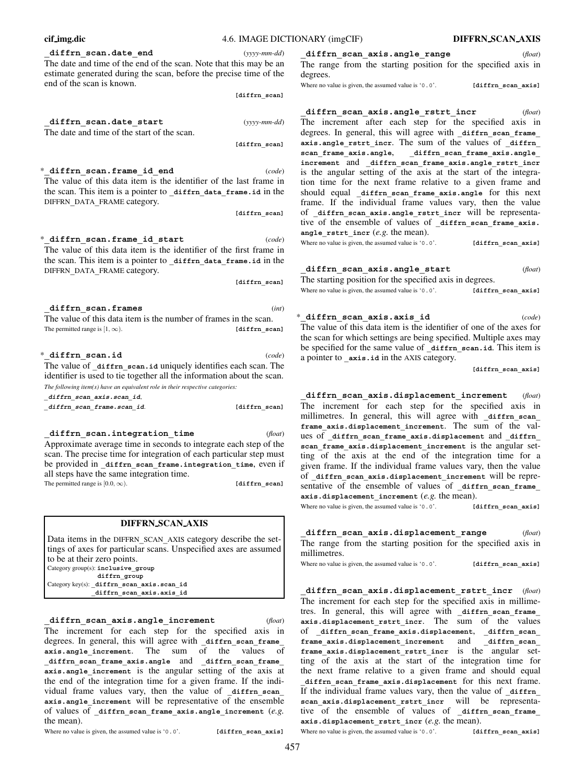| cif img.dic                                                                                                                                                                                                                                                                                                                      | 4.6. IMAGE DICTIONARY (imgCIF)                                                                                                                                                                                                                                                                                                                                                                                                                                                                                                                                                                                                   |                                                                                                                                                                                                                                                                                                                                                                                                                                                                                                                        | <b>DIFFRN SCAN AXIS</b>       |
|----------------------------------------------------------------------------------------------------------------------------------------------------------------------------------------------------------------------------------------------------------------------------------------------------------------------------------|----------------------------------------------------------------------------------------------------------------------------------------------------------------------------------------------------------------------------------------------------------------------------------------------------------------------------------------------------------------------------------------------------------------------------------------------------------------------------------------------------------------------------------------------------------------------------------------------------------------------------------|------------------------------------------------------------------------------------------------------------------------------------------------------------------------------------------------------------------------------------------------------------------------------------------------------------------------------------------------------------------------------------------------------------------------------------------------------------------------------------------------------------------------|-------------------------------|
| diffrn scan.date_end<br>The date and time of the end of the scan. Note that this may be an<br>estimate generated during the scan, before the precise time of the<br>end of the scan is known.                                                                                                                                    | $(yyyymm-dd)$<br>[diffrn_scan]                                                                                                                                                                                                                                                                                                                                                                                                                                                                                                                                                                                                   | diffrn_scan_axis.angle_range<br>The range from the starting position for the specified axis in<br>degrees.<br>Where no value is given, the assumed value is '0.0'.                                                                                                                                                                                                                                                                                                                                                     | (float)<br>[diffrn_scan_axis] |
| diffrn scan.date start<br>The date and time of the start of the scan.                                                                                                                                                                                                                                                            | $(yyyymm-dd)$<br>[diffrn_scan]                                                                                                                                                                                                                                                                                                                                                                                                                                                                                                                                                                                                   | diffrn_scan_axis.angle_rstrt_incr<br>The increment after each step for the specified axis in<br>degrees. In general, this will agree with diffrn scan frame<br>axis.angle_rstrt_incr. The sum of the values of _diffrn_                                                                                                                                                                                                                                                                                                | (float)                       |
| *_diffrn_scan.frame_id_end<br>The value of this data item is the identifier of the last frame in<br>the scan. This item is a pointer to _diffrn_data_frame.id in the<br>DIFFRN_DATA_FRAME category.                                                                                                                              | (code)<br>[diffrn_scan]                                                                                                                                                                                                                                                                                                                                                                                                                                                                                                                                                                                                          | $\verb scan_friends_axis.angle, \verb __diffrn_scan_freme_axis.angle_$<br>increment and _diffrn_scan_frame_axis.angle_rstrt_incr<br>is the angular setting of the axis at the start of the integra-<br>tion time for the next frame relative to a given frame and<br>should equal _diffrn_scan_frame_axis.angle for this next<br>frame. If the individual frame values vary, then the value<br>of _diffrn_scan_axis.angle_rstrt_incr will be representa-<br>tive of the ensemble of values of _diffrn_scan_frame_axis. |                               |
| * diffrn scan.frame id start<br>The value of this data item is the identifier of the first frame in<br>the scan. This item is a pointer to diffrn data frame.id in the<br>DIFFRN DATA FRAME category.                                                                                                                            | (code)<br>[diffrn_scan]                                                                                                                                                                                                                                                                                                                                                                                                                                                                                                                                                                                                          | angle_rstrt_incr $(e.g.$ the mean).<br>Where no value is given, the assumed value is '0.0'.<br>_diffrn_scan_axis.angle_start<br>The starting position for the specified axis in degrees.                                                                                                                                                                                                                                                                                                                               | [diffrn_scan_axis]<br>(float) |
| diffrn scan.frames<br>The value of this data item is the number of frames in the scan.<br>The permitted range is $[1, \infty)$ .                                                                                                                                                                                                 | (int)<br>[diffrn_scan]                                                                                                                                                                                                                                                                                                                                                                                                                                                                                                                                                                                                           | Where no value is given, the assumed value is '0.0'.<br>*_diffrn_scan_axis.axis_id<br>The value of this data item is the identifier of one of the axes for<br>the scan for which settings are being specified. Multiple axes may                                                                                                                                                                                                                                                                                       | [diffrn scan axis]<br>(code)  |
| * diffrn scan.id<br>The value of _diffrn_scan.id uniquely identifies each scan. The<br>identifier is used to tie together all the information about the scan.                                                                                                                                                                    | (code)                                                                                                                                                                                                                                                                                                                                                                                                                                                                                                                                                                                                                           | be specified for the same value of _diffrn_scan.id. This item is<br>a pointer to _axis.id in the AXIS category.                                                                                                                                                                                                                                                                                                                                                                                                        | [diffrn_scan_axis]            |
| The following item $(s)$ have an equivalent role in their respective categories:<br>$\_diffrn\_scan\_axis.scan\_id,$<br>$\_diffrn\_scan\_frame.scan\_id.$                                                                                                                                                                        | [diffrn_scan]                                                                                                                                                                                                                                                                                                                                                                                                                                                                                                                                                                                                                    | diffrn scan axis.displacement increment (float)<br>The increment for each step for the specified axis in<br>millimetres. In general, this will agree with _diffrn_scan_<br>frame_axis.displacement_increment. The sum of the val-                                                                                                                                                                                                                                                                                      |                               |
| diffrn scan.integration time<br>Approximate average time in seconds to integrate each step of the<br>scan. The precise time for integration of each particular step must<br>be provided in _diffrn_scan_frame.integration_time, even if<br>all steps have the same integration time.<br>The permitted range is $[0.0, \infty)$ . | (float)<br>$[diffrn\_scan] % \begin{minipage}[b]{0.4\linewidth} \centering \centerline{\includegraphics[width=0.4\linewidth]{images/STN100020.jpg} \centerline{\includegraphics[width=0.4\linewidth]{images/STN100020.jpg} \centerline{\includegraphics[width=0.4\linewidth]{images/STN100020.jpg} \centerline{\includegraphics[width=0.4\linewidth]{images/STN100020.jpg} \centerline{\includegraphics[width=0.4\linewidth]{images/STN100020.jpg} \centerline{\includegraphics[width=0.4\linewidth]{images/STN100020.jpg} \centerline{\includegraphics[width=0.4\linewidth]{images/STN100020.jpg} \centerline{\includegraphics$ | ues of _diffrn_scan_frame_axis.displacement and _diffrn_<br>scan frame axis.displacement increment is the angular set-<br>ting of the axis at the end of the integration time for a<br>given frame. If the individual frame values vary, then the value<br>of _diffrn_scan_axis.displacement_increment will be repre-<br>sentative of the ensemble of values of _diffrn_scan_frame_<br>axis.displacement_increment $(e.g.$ the mean).<br>Where no value is given, the assumed value is '0.0'.                          | [diffrn scan axis]            |
| <b>DIFFRN_SCAN_AXIS</b>                                                                                                                                                                                                                                                                                                          |                                                                                                                                                                                                                                                                                                                                                                                                                                                                                                                                                                                                                                  |                                                                                                                                                                                                                                                                                                                                                                                                                                                                                                                        |                               |
| Data items in the DIFFRN_SCAN_AXIS category describe the set-<br>tings of axes for particular scans. Unspecified axes are assumed<br>to be at their zero points.<br>Category group(s): inclusive_group<br>diffrn_group                                                                                                           |                                                                                                                                                                                                                                                                                                                                                                                                                                                                                                                                                                                                                                  | diffrn scan axis.displacement range<br>The range from the starting position for the specified axis in<br>millimetres.<br>Where no value is given, the assumed value is '0.0'.                                                                                                                                                                                                                                                                                                                                          | (float)<br>[diffrn scan axis] |
| Category key(s): diffrn scan axis.scan id<br>diffrn scan axis.axis id<br>diffrn scan axis.angle increment<br>The increment for each step for the specified                                                                                                                                                                       | (float)<br>axis in                                                                                                                                                                                                                                                                                                                                                                                                                                                                                                                                                                                                               | diffrn_scan_axis.displacement_rstrt_incr (float)<br>The increment for each step for the specified axis in millime-<br>tres. In general, this will agree with _diffrn_scan frame<br>axis.displacement_rstrt_incr. The sum of the values<br>diffrn_scan_frame_axis.displacement,<br>οf                                                                                                                                                                                                                                   | diffrn scan                   |

The increment for each step for the specified axis in degrees. In general, this will agree with **\_diffrn\_scan\_frame\_ axis.angle\_increment**. The sum of the values of **\_diffrn\_scan\_frame\_axis.angle** and **\_diffrn\_scan\_frame\_ axis.angle\_increment** is the angular setting of the axis at the end of the integration time for a given frame. If the individual frame values vary, then the value of **\_diffrn\_scan\_ axis.angle\_increment** will be representative of the ensemble of values of **\_diffrn\_scan\_frame\_axis.angle\_increment** (*e.g.* the mean).

Where no value is given, the assumed value is '0.0'. [diffrn\_scan\_axis]

457

Where no value is given, the assumed value is '0.0'. **[diffrn\_scan\_axis]** 

**axis.displacement\_rstrt\_incr** (*e.g.* the mean).

**frame\_axis.displacement\_increment** and **\_diffrn\_scan\_ frame\_axis.displacement\_rstrt\_incr** is the angular setting of the axis at the start of the integration time for the next frame relative to a given frame and should equal **\_diffrn\_scan\_frame\_axis.displacement** for this next frame. If the individual frame values vary, then the value of **\_diffrn\_ scan\_axis.displacement\_rstrt\_incr** will be representative of the ensemble of values of **\_diffrn\_scan\_frame\_**